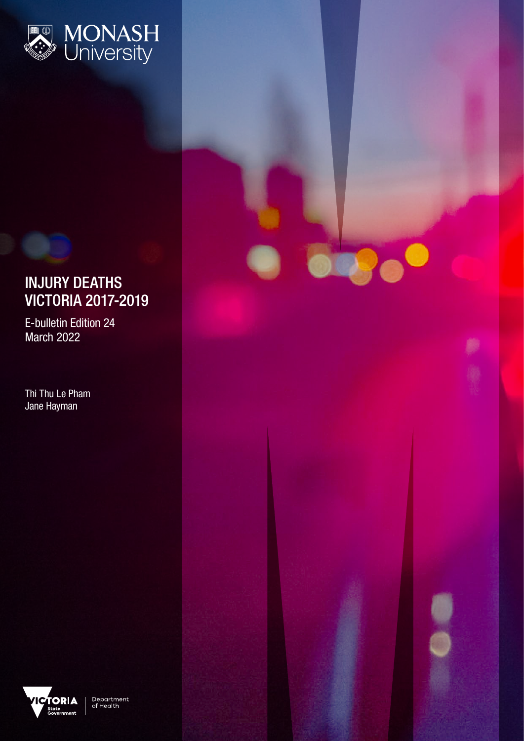

# INJURY DEATHS VICTORIA 2017-2019

**DR'e** 

E-bulletin Edition 24 March 2022

Thi Thu Le Pham Jane Hayman



Department<br>of Health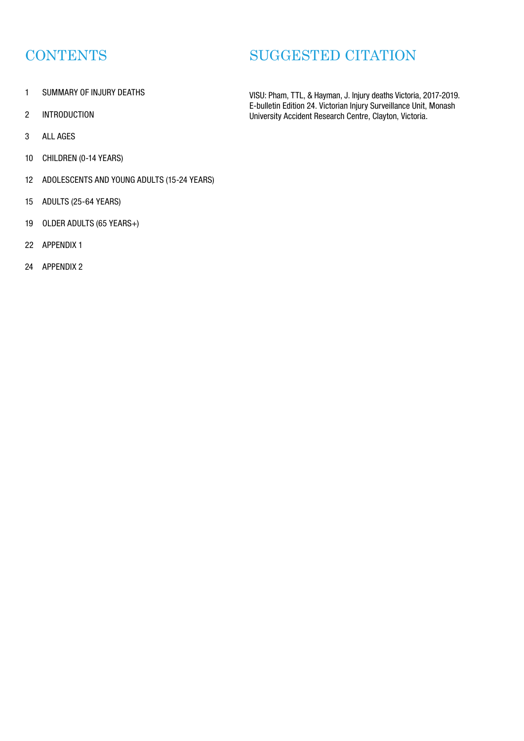# **CONTENTS**

- 1 SUMMARY OF INJURY DEATHS
- 2 INTRODUCTION
- 3 ALL AGES
- 10 CHILDREN (0-14 YEARS)
- 12 ADOLESCENTS AND YOUNG ADULTS (15-24 YEARS)
- 15 ADULTS (25-64 YEARS)
- 19 OLDER ADULTS (65 YEARS+)
- 22 APPENDIX 1
- 24 APPENDIX 2

# SUGGESTED CITATION

VISU: Pham, TTL, & Hayman, J. Injury deaths Victoria, 2017-2019. E-bulletin Edition 24. Victorian Injury Surveillance Unit, Monash University Accident Research Centre, Clayton, Victoria.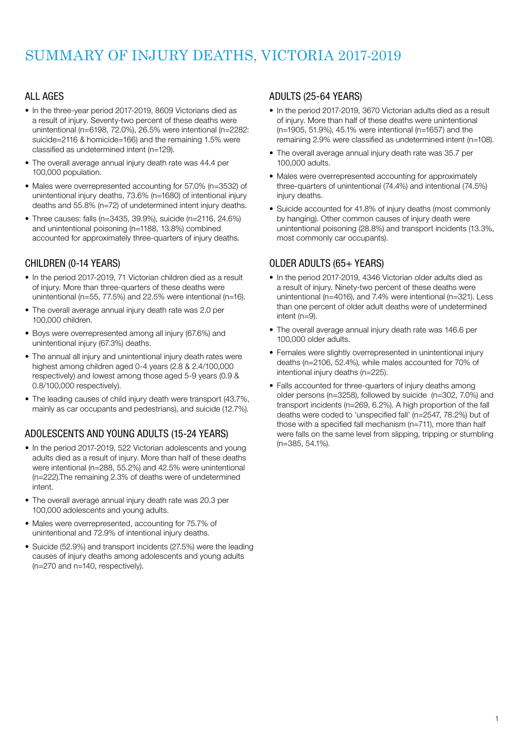# SUMMARY OF INJURY DEATHS, VICTORIA 2017-2019

## ALL AGES

- In the three-year period 2017-2019, 8609 Victorians died as a result of injury. Seventy-two percent of these deaths were unintentional (n=6198, 72.0%), 26.5% were intentional (n=2282: suicide=2116 & homicide=166) and the remaining 1.5% were classified as undetermined intent (n=129).
- The overall average annual injury death rate was 44.4 per 100,000 population.
- Males were overrepresented accounting for 57.0% (n=3532) of unintentional injury deaths, 73.6% (n=1680) of intentional injury deaths and 55.8% (n=72) of undetermined intent injury deaths.
- Three causes: falls (n=3435, 39.9%), suicide (n=2116, 24.6%) and unintentional poisoning (n=1188, 13.8%) combined accounted for approximately three-quarters of injury deaths.

## CHILDREN (0-14 YEARS)

- In the period 2017-2019, 71 Victorian children died as a result of injury. More than three-quarters of these deaths were unintentional (n=55, 77.5%) and 22.5% were intentional (n=16).
- The overall average annual injury death rate was 2.0 per 100,000 children.
- Boys were overrepresented among all injury (67.6%) and unintentional injury (67.3%) deaths.
- The annual all injury and unintentional injury death rates were highest among children aged 0-4 years (2.8 & 2.4/100,000 respectively) and lowest among those aged 5-9 years (0.9 & 0.8/100,000 respectively).
- The leading causes of child injury death were transport (43.7%, mainly as car occupants and pedestrians), and suicide (12.7%).

## ADOLESCENTS AND YOUNG ADULTS (15-24 YEARS)

- In the period 2017-2019, 522 Victorian adolescents and young adults died as a result of injury. More than half of these deaths were intentional (n=288, 55.2%) and 42.5% were unintentional (n=222).The remaining 2.3% of deaths were of undetermined intent.
- The overall average annual injury death rate was 20.3 per 100,000 adolescents and young adults.
- Males were overrepresented, accounting for 75.7% of unintentional and 72.9% of intentional injury deaths.
- Suicide (52.9%) and transport incidents (27.5%) were the leading causes of injury deaths among adolescents and young adults (n=270 and n=140, respectively).

## ADULTS (25-64 YEARS)

- In the period 2017-2019, 3670 Victorian adults died as a result of injury. More than half of these deaths were unintentional (n=1905, 51.9%), 45.1% were intentional (n=1657) and the remaining 2.9% were classified as undetermined intent (n=108).
- The overall average annual injury death rate was 35.7 per 100,000 adults.
- Males were overrepresented accounting for approximately three-quarters of unintentional (74.4%) and intentional (74.5%) injury deaths.
- Suicide accounted for 41.8% of injury deaths (most commonly by hanging). Other common causes of injury death were unintentional poisoning (28.8%) and transport incidents (13.3%, most commonly car occupants).

## OLDER ADULTS (65+ YEARS)

- In the period 2017-2019, 4346 Victorian older adults died as a result of injury. Ninety-two percent of these deaths were unintentional (n=4016), and 7.4% were intentional (n=321). Less than one percent of older adult deaths were of undetermined intent (n=9).
- The overall average annual injury death rate was 146.6 per 100,000 older adults.
- Females were slightly overrepresented in unintentional injury deaths (n=2106, 52.4%), while males accounted for 70% of intentional injury deaths (n=225).
- Falls accounted for three-quarters of injury deaths among older persons (n=3258), followed by suicide (n=302, 7.0%) and transport incidents (n=269, 6.2%). A high proportion of the fall deaths were coded to 'unspecified fall' (n=2547, 78.2%) but of those with a specified fall mechanism (n=711), more than half were falls on the same level from slipping, tripping or stumbling (n=385, 54.1%).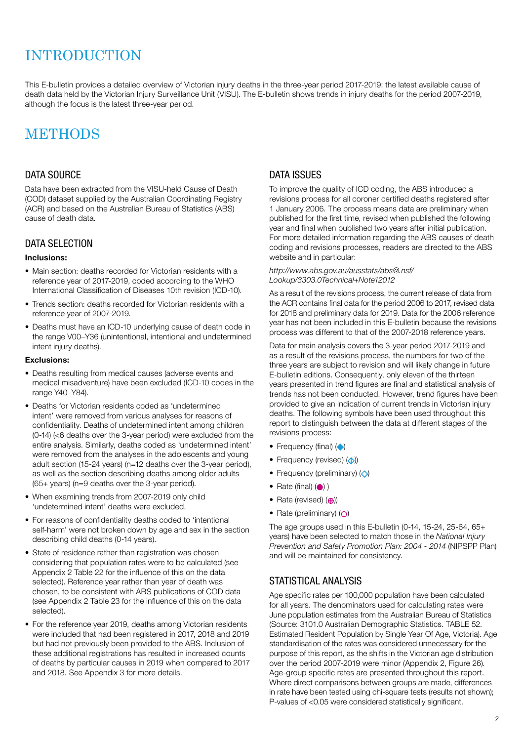# **INTRODUCTION**

This E-bulletin provides a detailed overview of Victorian injury deaths in the three-year period 2017-2019: the latest available cause of death data held by the Victorian Injury Surveillance Unit (VISU). The E-bulletin shows trends in injury deaths for the period 2007-2019, although the focus is the latest three-year period.

# **METHODS**

## DATA SOURCE

Data have been extracted from the VISU-held Cause of Death (COD) dataset supplied by the Australian Coordinating Registry (ACR) and based on the Australian Bureau of Statistics (ABS) cause of death data.

## DATA SELECTION

### Inclusions:

- Main section: deaths recorded for Victorian residents with a reference year of 2017-2019, coded according to the WHO International Classification of Diseases 10th revision (ICD-10).
- Trends section: deaths recorded for Victorian residents with a reference year of 2007-2019.
- Deaths must have an ICD-10 underlying cause of death code in the range V00–Y36 (unintentional, intentional and undetermined intent injury deaths).

### Exclusions:

- Deaths resulting from medical causes (adverse events and medical misadventure) have been excluded (ICD-10 codes in the range Y40–Y84).
- Deaths for Victorian residents coded as 'undetermined intent' were removed from various analyses for reasons of confidentiality. Deaths of undetermined intent among children (0-14) (<6 deaths over the 3-year period) were excluded from the entire analysis. Similarly, deaths coded as 'undetermined intent' were removed from the analyses in the adolescents and young adult section (15-24 years) (n=12 deaths over the 3-year period), as well as the section describing deaths among older adults (65+ years) (n=9 deaths over the 3-year period).
- When examining trends from 2007-2019 only child 'undetermined intent' deaths were excluded.
- For reasons of confidentiality deaths coded to 'intentional self-harm' were not broken down by age and sex in the section describing child deaths (0-14 years).
- State of residence rather than registration was chosen considering that population rates were to be calculated (see Appendix 2 Table 22 for the influence of this on the data selected). Reference year rather than year of death was chosen, to be consistent with ABS publications of COD data (see Appendix 2 Table 23 for the influence of this on the data selected).
- For the reference year 2019, deaths among Victorian residents were included that had been registered in 2017, 2018 and 2019 but had not previously been provided to the ABS. Inclusion of these additional registrations has resulted in increased counts of deaths by particular causes in 2019 when compared to 2017 and 2018. See Appendix 3 for more details.

## DATA ISSUES

To improve the quality of ICD coding, the ABS introduced a revisions process for all coroner certified deaths registered after 1 January 2006. The process means data are preliminary when published for the first time, revised when published the following year and final when published two years after initial publication. For more detailed information regarding the ABS causes of death coding and revisions processes, readers are directed to the ABS website and in particular:

#### http://www.abs.gov.au/ausstats/abs@.nsf/ Lookup/3303.0Technical+Note12012

As a result of the revisions process, the current release of data from the ACR contains final data for the period 2006 to 2017, revised data for 2018 and preliminary data for 2019. Data for the 2006 reference year has not been included in this E-bulletin because the revisions process was different to that of the 2007-2018 reference years.

Data for main analysis covers the 3-year period 2017-2019 and as a result of the revisions process, the numbers for two of the three years are subject to revision and will likely change in future E-bulletin editions. Consequently, only eleven of the thirteen years presented in trend figures are final and statistical analysis of trends has not been conducted. However, trend figures have been provided to give an indication of current trends in Victorian injury deaths. The following symbols have been used throughout this report to distinguish between the data at different stages of the revisions process:

- Frequency (final)  $($
- Frequency (revised)  $($
- Frequency (preliminary)  $\langle \diamond \rangle$
- Rate (final)  $($   $)$ )
- Rate (revised)  $(\bigoplus)$
- Rate (preliminary)  $(O)$

The age groups used in this E-bulletin (0-14, 15-24, 25-64, 65+ years) have been selected to match those in the National Injury Prevention and Safety Promotion Plan: 2004 - 2014 (NIPSPP Plan) and will be maintained for consistency.

## STATISTICAL ANALYSIS

Age specific rates per 100,000 population have been calculated for all years. The denominators used for calculating rates were June population estimates from the Australian Bureau of Statistics (Source: 3101.0 Australian Demographic Statistics. TABLE 52. Estimated Resident Population by Single Year Of Age, Victoria). Age standardisation of the rates was considered unnecessary for the purpose of this report, as the shifts in the Victorian age distribution over the period 2007-2019 were minor (Appendix 2, Figure 26). Age-group specific rates are presented throughout this report. Where direct comparisons between groups are made, differences in rate have been tested using chi-square tests (results not shown); P-values of <0.05 were considered statistically significant.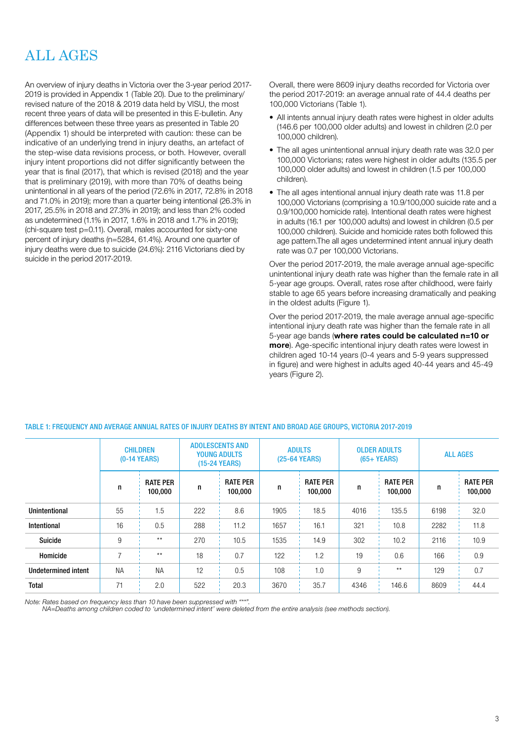# ALL AGES

An overview of injury deaths in Victoria over the 3-year period 2017- 2019 is provided in Appendix 1 (Table 20). Due to the preliminary/ revised nature of the 2018 & 2019 data held by VISU, the most recent three years of data will be presented in this E-bulletin. Any differences between these three years as presented in Table 20 (Appendix 1) should be interpreted with caution: these can be indicative of an underlying trend in injury deaths, an artefact of the step-wise data revisions process, or both. However, overall injury intent proportions did not differ significantly between the year that is final (2017), that which is revised (2018) and the year that is preliminary (2019), with more than 70% of deaths being unintentional in all years of the period (72.6% in 2017, 72.8% in 2018 and 71.0% in 2019); more than a quarter being intentional (26.3% in 2017, 25.5% in 2018 and 27.3% in 2019); and less than 2% coded as undetermined (1.1% in 2017, 1.6% in 2018 and 1.7% in 2019); (chi-square test p=0.11). Overall, males accounted for sixty-one percent of injury deaths (n=5284, 61.4%). Around one quarter of injury deaths were due to suicide (24.6%): 2116 Victorians died by suicide in the period 2017-2019.

Overall, there were 8609 injury deaths recorded for Victoria over the period 2017-2019: an average annual rate of 44.4 deaths per 100,000 Victorians (Table 1).

- All intents annual injury death rates were highest in older adults (146.6 per 100,000 older adults) and lowest in children (2.0 per 100,000 children).
- The all ages unintentional annual injury death rate was 32.0 per 100,000 Victorians; rates were highest in older adults (135.5 per 100,000 older adults) and lowest in children (1.5 per 100,000 children).
- The all ages intentional annual injury death rate was 11.8 per 100,000 Victorians (comprising a 10.9/100,000 suicide rate and a 0.9/100,000 homicide rate). Intentional death rates were highest in adults (16.1 per 100,000 adults) and lowest in children (0.5 per 100,000 children). Suicide and homicide rates both followed this age pattern.The all ages undetermined intent annual injury death rate was 0.7 per 100,000 Victorians.

Over the period 2017-2019, the male average annual age-specific unintentional injury death rate was higher than the female rate in all 5-year age groups. Overall, rates rose after childhood, were fairly stable to age 65 years before increasing dramatically and peaking in the oldest adults (Figure 1).

Over the period 2017-2019, the male average annual age-specific intentional injury death rate was higher than the female rate in all 5-year age bands (where rates could be calculated n=10 or more). Age-specific intentional injury death rates were lowest in children aged 10-14 years (0-4 years and 5-9 years suppressed in figure) and were highest in adults aged 40-44 years and 45-49 years (Figure 2).

|                      | <b>CHILDREN</b><br><b>(0-14 YEARS)</b> |                            | <b>ADOLESCENTS AND</b><br><b>YOUNG ADULTS</b><br>(15-24 YEARS) |                            | <b>ADULTS</b><br>(25-64 YEARS) |                            |      | <b>OLDER ADULTS</b><br>$(65+YEARS)$ | <b>ALL AGES</b> |                            |
|----------------------|----------------------------------------|----------------------------|----------------------------------------------------------------|----------------------------|--------------------------------|----------------------------|------|-------------------------------------|-----------------|----------------------------|
|                      | n                                      | <b>RATE PER</b><br>100,000 | n                                                              | <b>RATE PER</b><br>100,000 | n                              | <b>RATE PER</b><br>100,000 | n    | <b>RATE PER</b><br>100,000          | n               | <b>RATE PER</b><br>100,000 |
| <b>Unintentional</b> | 55                                     | 1.5                        | 222                                                            | 8.6                        | 1905                           | 18.5                       | 4016 | 135.5                               | 6198            | 32.0                       |
| Intentional          | 16                                     | 0.5                        | 288                                                            | 11.2                       | 1657                           | 16.1                       | 321  | 10.8                                | 2282            | 11.8                       |
| Suicide              | 9                                      | $***$                      | 270                                                            | 10.5                       | 1535                           | 14.9                       | 302  | 10.2                                | 2116            | 10.9                       |
| Homicide             | 7                                      | $***$                      | 18                                                             | 0.7                        | 122                            | 1.2                        | 19   | 0.6                                 | 166             | 0.9                        |
| Undetermined intent  | <b>NA</b>                              | <b>NA</b>                  | 12                                                             | 0.5                        | 108                            | 1.0                        | 9    | $***$                               | 129             | 0.7                        |
| Total                | 71                                     | 2.0                        | 522                                                            | 20.3                       | 3670                           | 35.7                       | 4346 | 146.6                               | 8609            | 44.4                       |

### TABLE 1: FREQUENCY AND AVERAGE ANNUAL RATES OF INJURY DEATHS BY INTENT AND BROAD AGE GROUPS, VICTORIA 2017-2019

Note: Rates based on frequency less than 10 have been suppressed with "\*\*".

NA=Deaths among children coded to 'undetermined intent' were deleted from the entire analysis (see methods section).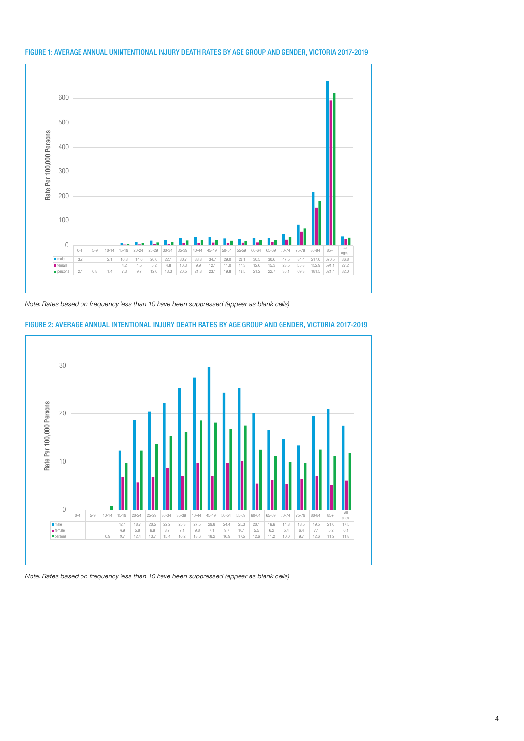

#### FIGURE 1: AVERAGE ANNUAL UNINTENTIONAL INJURY DEATH RATES BY AGE GROUP AND GENDER, VICTORIA 2017-2019

Note: Rates based on frequency less than 10 have been suppressed (appear as blank cells)





Note: Rates based on frequency less than 10 have been suppressed (appear as blank cells)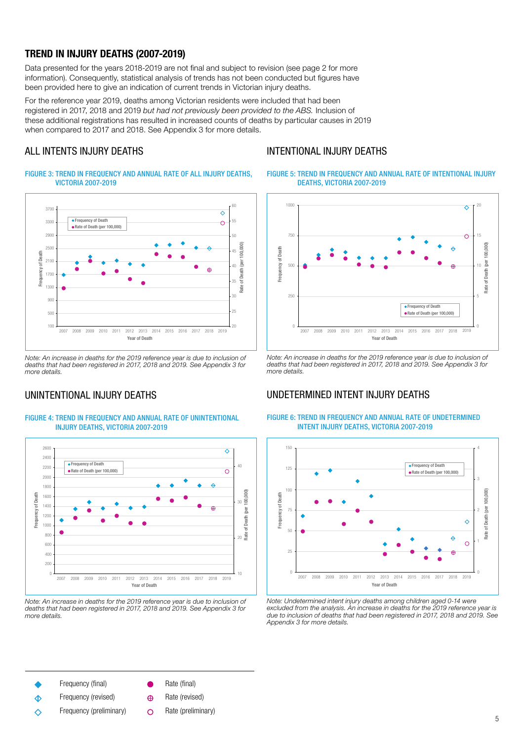## TREND IN INJURY DEATHS (2007-2019)

Data presented for the years 2018-2019 are not final and subject to revision (see page 2 for more information). Consequently, statistical analysis of trends has not been conducted but figures have been provided here to give an indication of current trends in Victorian injury deaths.

For the reference year 2019, deaths among Victorian residents were included that had been registered in 2017, 2018 and 2019 but had not previously been provided to the ABS. Inclusion of these additional registrations has resulted in increased counts of deaths by particular causes in 2019 when compared to 2017 and 2018. See Appendix 3 for more details.

# ALL INTENTS INJURY DEATHS

## INTENTIONAL INJURY DEATHS

FIGURE 3: TREND IN FREQUENCY AND ANNUAL RATE OF ALL INJURY DEATHS, VICTORIA 2007-2019



Note: An increase in deaths for the 2019 reference year is due to inclusion of deaths that had been registered in 2017, 2018 and 2019. See Appendix 3 for more details.

## UNINTENTIONAL INJURY DEATHS

#### FIGURE 4: TREND IN FREQUENCY AND ANNUAL RATE OF UNINTENTIONAL INJURY DEATHS, VICTORIA 2007-2019



Note: An increase in deaths for the 2019 reference year is due to inclusion of deaths that had been registered in 2017, 2018 and 2019. See Appendix 3 for more details.

FIGURE 5: TREND IN FREQUENCY AND ANNUAL RATE OF INTENTIONAL INJURY DEATHS, VICTORIA 2007-2019



Note: An increase in deaths for the 2019 reference year is due to inclusion of deaths that had been registered in 2017, 2018 and 2019. See Appendix 3 for more details.

## UNDETERMINED INTENT INJURY DEATHS



FIGURE 6: TREND IN FREQUENCY AND ANNUAL RATE OF UNDETERMINED INTENT INJURY DEATHS, VICTORIA 2007-2019

Note: Undetermined intent injury deaths among children aged 0-14 were excluded from the analysis. An increase in deaths for the 2019 reference year is due to inclusion of deaths that had been registered in 2017, 2018 and 2019. See Appendix 3 for more details.

Frequency (final)

- Frequency (revised)  $\Diamond$
- Frequency (preliminary) ∧

Rate (final)

- Rate (revised)  $\bigoplus$
- Rate (preliminary) $\Omega$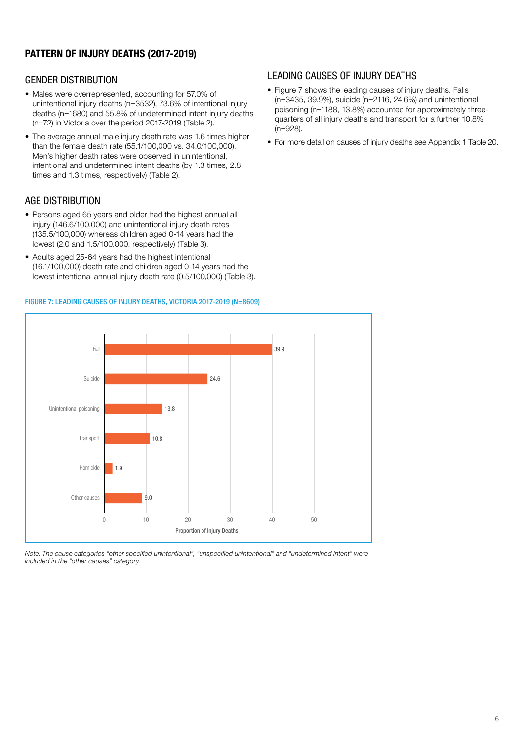# PATTERN OF INJURY DEATHS (2017-2019)

## GENDER DISTRIBUTION

- Males were overrepresented, accounting for 57.0% of unintentional injury deaths (n=3532), 73.6% of intentional injury deaths (n=1680) and 55.8% of undetermined intent injury deaths (n=72) in Victoria over the period 2017-2019 (Table 2).
- The average annual male injury death rate was 1.6 times higher than the female death rate (55.1/100,000 vs. 34.0/100,000). Men's higher death rates were observed in unintentional, intentional and undetermined intent deaths (by 1.3 times, 2.8 times and 1.3 times, respectively) (Table 2).

## AGE DISTRIBUTION

- Persons aged 65 years and older had the highest annual all injury (146.6/100,000) and unintentional injury death rates (135.5/100,000) whereas children aged 0-14 years had the lowest (2.0 and 1.5/100,000, respectively) (Table 3).
- Adults aged 25-64 years had the highest intentional (16.1/100,000) death rate and children aged 0-14 years had the lowest intentional annual injury death rate (0.5/100,000) (Table 3).

#### FIGURE 7: LEADING CAUSES OF INJURY DEATHS, VICTORIA 2017-2019 (N=8609)

## LEADING CAUSES OF INJURY DEATHS

- Figure 7 shows the leading causes of injury deaths. Falls (n=3435, 39.9%), suicide (n=2116, 24.6%) and unintentional poisoning (n=1188, 13.8%) accounted for approximately threequarters of all injury deaths and transport for a further 10.8% (n=928).
- For more detail on causes of injury deaths see Appendix 1 Table 20.



Note: The cause categories "other specified unintentional", "unspecified unintentional" and "undetermined intent" were included in the "other causes" category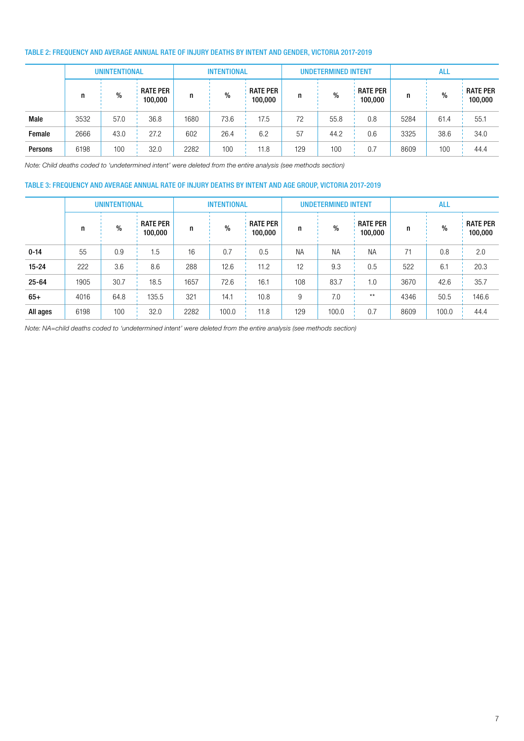### TABLE 2: FREQUENCY AND AVERAGE ANNUAL RATE OF INJURY DEATHS BY INTENT AND GENDER, VICTORIA 2017-2019

|                | <b>UNINTENTIONAL</b> |      |                            | <b>INTENTIONAL</b> |      |                            | <b>UNDETERMINED INTENT</b> |      |                            | <b>ALL</b> |      |                            |
|----------------|----------------------|------|----------------------------|--------------------|------|----------------------------|----------------------------|------|----------------------------|------------|------|----------------------------|
|                |                      | %    | <b>RATE PER</b><br>100,000 | n                  | %    | <b>RATE PER</b><br>100,000 |                            | %    | <b>RATE PER</b><br>100,000 | n          | $\%$ | <b>RATE PER</b><br>100,000 |
| Male           | 3532                 | 57.0 | 36.8                       | 1680               | 73.6 | 17.5                       | 72                         | 55.8 | 0.8                        | 5284       | 61.4 | 55.1                       |
| Female         | 2666                 | 43.0 | 27.2                       | 602                | 26.4 | 6.2                        | 57                         | 44.2 | 0.6                        | 3325       | 38.6 | 34.0                       |
| <b>Persons</b> | 6198                 | 100  | 32.0                       | 2282               | 100  | 11.8                       | 129                        | 100  | 0.7                        | 8609       | 100  | 44.4                       |

Note: Child deaths coded to 'undetermined intent' were deleted from the entire analysis (see methods section)

#### TABLE 3: FREQUENCY AND AVERAGE ANNUAL RATE OF INJURY DEATHS BY INTENT AND AGE GROUP, VICTORIA 2017-2019

|           | <b>UNINTENTIONAL</b> |               |                            | <b>INTENTIONAL</b> |       |                            | <b>UNDETERMINED INTENT</b> |           |                            | <b>ALL</b> |       |                            |
|-----------|----------------------|---------------|----------------------------|--------------------|-------|----------------------------|----------------------------|-----------|----------------------------|------------|-------|----------------------------|
|           | n                    | $\frac{0}{0}$ | <b>RATE PER</b><br>100,000 | n                  | %     | <b>RATE PER</b><br>100,000 | n                          | $\%$      | <b>RATE PER</b><br>100,000 | n          | $\%$  | <b>RATE PER</b><br>100,000 |
| $0 - 14$  | 55                   | 0.9           | 1.5                        | 16                 | 0.7   | 0.5                        | <b>NA</b>                  | <b>NA</b> | <b>NA</b>                  | 71         | 0.8   | 2.0                        |
| $15 - 24$ | 222                  | 3.6           | 8.6                        | 288                | 12.6  | 11.2                       | 12                         | 9.3       | 0.5                        | 522        | 6.1   | 20.3                       |
| $25 - 64$ | 1905                 | 30.7          | 18.5                       | 1657               | 72.6  | 16.1                       | 108                        | 83.7      | 1.0                        | 3670       | 42.6  | 35.7                       |
| $65+$     | 4016                 | 64.8          | 135.5                      | 321                | 14.1  | 10.8                       | 9                          | 7.0       | $\star\star$               | 4346       | 50.5  | 146.6                      |
| All ages  | 6198                 | 100           | 32.0                       | 2282               | 100.0 | 11.8                       | 129                        | 100.0     | 0.7                        | 8609       | 100.0 | 44.4                       |

Note: NA=child deaths coded to 'undetermined intent' were deleted from the entire analysis (see methods section)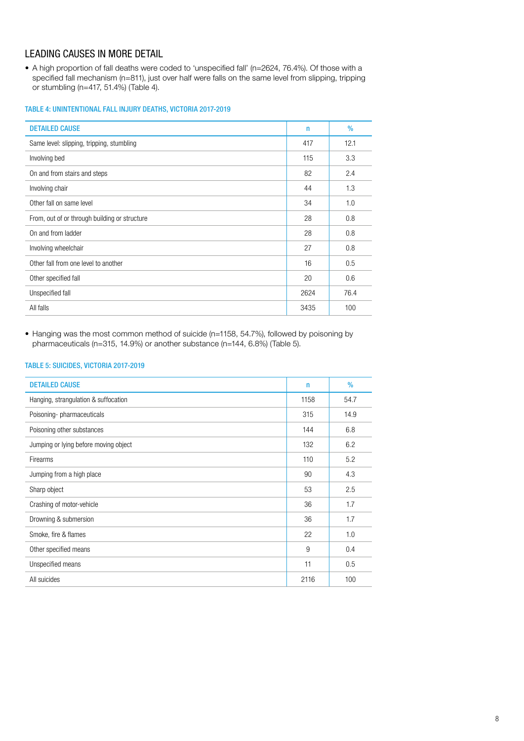# LEADING CAUSES IN MORE DETAIL

• A high proportion of fall deaths were coded to 'unspecified fall' (n=2624, 76.4%). Of those with a specified fall mechanism (n=811), just over half were falls on the same level from slipping, tripping or stumbling (n=417, 51.4%) (Table 4).

### TABLE 4: UNINTENTIONAL FALL INJURY DEATHS, VICTORIA 2017-2019

| <b>DETAILED CAUSE</b>                         | n    | $\%$ |
|-----------------------------------------------|------|------|
| Same level: slipping, tripping, stumbling     | 417  | 12.1 |
| Involving bed                                 | 115  | 3.3  |
| On and from stairs and steps                  | 82   | 2.4  |
| Involving chair                               | 44   | 1.3  |
| Other fall on same level                      | 34   | 1.0  |
| From, out of or through building or structure | 28   | 0.8  |
| On and from ladder                            | 28   | 0.8  |
| Involving wheelchair                          | 27   | 0.8  |
| Other fall from one level to another          | 16   | 0.5  |
| Other specified fall                          | 20   | 0.6  |
| Unspecified fall                              | 2624 | 76.4 |
| All falls                                     | 3435 | 100  |

• Hanging was the most common method of suicide (n=1158, 54.7%), followed by poisoning by pharmaceuticals (n=315, 14.9%) or another substance (n=144, 6.8%) (Table 5).

### TABLE 5: SUICIDES, VICTORIA 2017-2019

| <b>DETAILED CAUSE</b>                 | $\mathsf{n}$ | $\%$ |
|---------------------------------------|--------------|------|
| Hanging, strangulation & suffocation  | 1158         | 54.7 |
| Poisoning-pharmaceuticals             | 315          | 14.9 |
| Poisoning other substances            | 144          | 6.8  |
| Jumping or lying before moving object | 132          | 6.2  |
| Firearms                              | 110          | 5.2  |
| Jumping from a high place             | 90           | 4.3  |
| Sharp object                          | 53           | 2.5  |
| Crashing of motor-vehicle             | 36           | 1.7  |
| Drowning & submersion                 | 36           | 1.7  |
| Smoke, fire & flames                  | 22           | 1.0  |
| Other specified means                 | 9            | 0.4  |
| Unspecified means                     | 11           | 0.5  |
| All suicides                          | 2116         | 100  |
|                                       |              |      |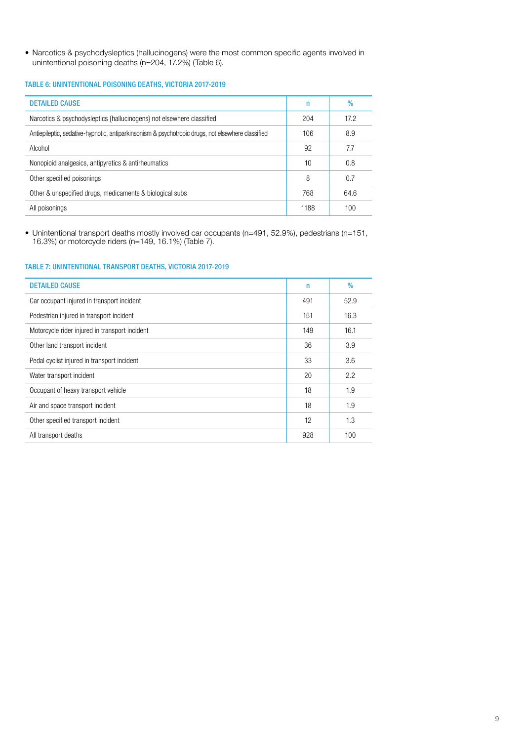• Narcotics & psychodysleptics (hallucinogens) were the most common specific agents involved in unintentional poisoning deaths (n=204, 17.2%) (Table 6).

### TABLE 6: UNINTENTIONAL POISONING DEATHS, VICTORIA 2017-2019

| <b>DETAILED CAUSE</b>                                                                             | n    | $\%$ |
|---------------------------------------------------------------------------------------------------|------|------|
| Narcotics & psychodysleptics {hallucinogens} not elsewhere classified                             | 204  | 17.2 |
| Antiepileptic, sedative-hypnotic, antiparkinsonism & psychotropic drugs, not elsewhere classified | 106  | 8.9  |
| Alcohol                                                                                           | 92   | 7.7  |
| Nonopioid analgesics, antipyretics & antirheumatics                                               | 10   | 0.8  |
| Other specified poisonings                                                                        | 8    | 0.7  |
| Other & unspecified drugs, medicaments & biological subs                                          | 768  | 64.6 |
| All poisonings                                                                                    | 1188 | 100  |

• Unintentional transport deaths mostly involved car occupants (n=491, 52.9%), pedestrians (n=151, 16.3%) or motorcycle riders (n=149, 16.1%) (Table 7).

### TABLE 7: UNINTENTIONAL TRANSPORT DEATHS, VICTORIA 2017-2019

| <b>DETAILED CAUSE</b>                          | n   | $\%$ |
|------------------------------------------------|-----|------|
| Car occupant injured in transport incident     | 491 | 52.9 |
| Pedestrian injured in transport incident       | 151 | 16.3 |
| Motorcycle rider injured in transport incident | 149 | 16.1 |
| Other land transport incident                  | 36  | 3.9  |
| Pedal cyclist injured in transport incident    | 33  | 3.6  |
| Water transport incident                       | 20  | 2.2  |
| Occupant of heavy transport vehicle            | 18  | 1.9  |
| Air and space transport incident               | 18  | 1.9  |
| Other specified transport incident             | 12  | 1.3  |
| All transport deaths                           | 928 | 100  |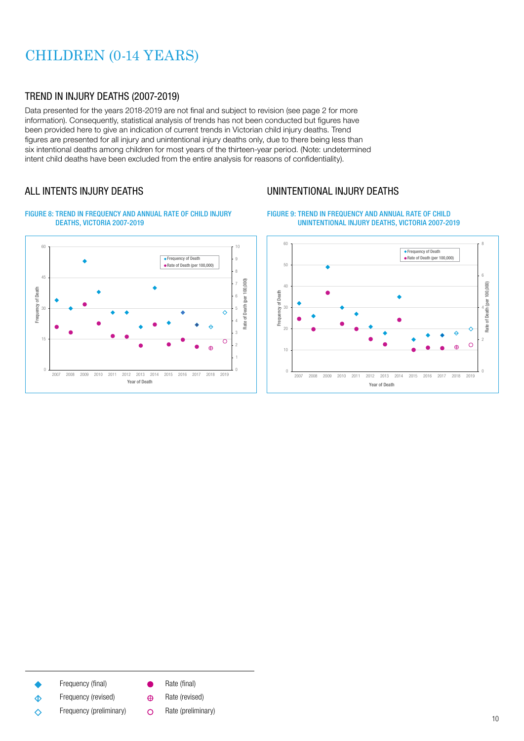# CHILDREN (0-14 YEARS)

## TREND IN INJURY DEATHS (2007-2019)

Data presented for the years 2018-2019 are not final and subject to revision (see page 2 for more information). Consequently, statistical analysis of trends has not been conducted but figures have been provided here to give an indication of current trends in Victorian child injury deaths. Trend figures are presented for all injury and unintentional injury deaths only, due to there being less than six intentional deaths among children for most years of the thirteen-year period. (Note: undetermined intent child deaths have been excluded from the entire analysis for reasons of confidentiality).

# ALL INTENTS INJURY DEATHS



FIGURE 8: TREND IN FREQUENCY AND ANNUAL RATE OF CHILD INJURY



# UNINTENTIONAL INJURY DEATHS





- Frequency (final)
- Frequency (revised)  $\hat{\Phi}$
- Frequency (preliminary)  $\Diamond$
- Rate (final)  $\bullet$
- Rate (revised)  $\oplus$
- Rate (preliminary) $\Omega$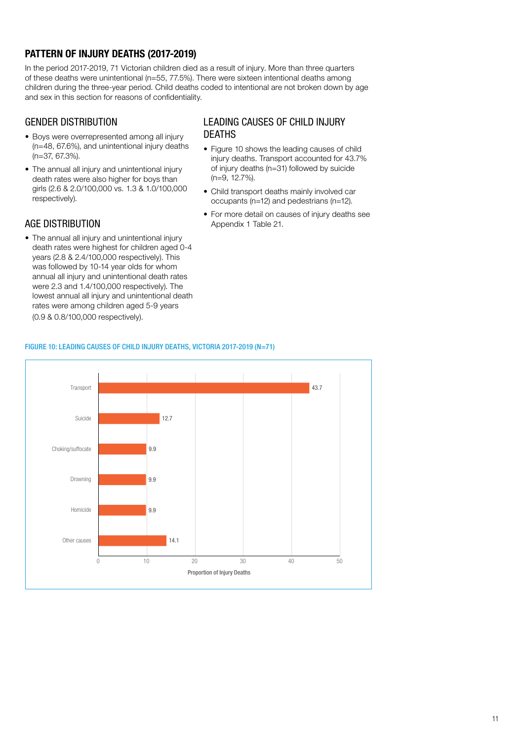# PATTERN OF INJURY DEATHS (2017-2019)

In the period 2017-2019, 71 Victorian children died as a result of injury. More than three quarters of these deaths were unintentional (n=55, 77.5%). There were sixteen intentional deaths among children during the three-year period. Child deaths coded to intentional are not broken down by age and sex in this section for reasons of confidentiality.

## GENDER DISTRIBUTION

- Boys were overrepresented among all injury (n=48, 67.6%), and unintentional injury deaths (n=37, 67.3%).
- The annual all injury and unintentional injury death rates were also higher for boys than girls (2.6 & 2.0/100,000 vs. 1.3 & 1.0/100,000 respectively).

## AGE DISTRIBUTION

• The annual all injury and unintentional injury death rates were highest for children aged 0-4 years (2.8 & 2.4/100,000 respectively). This was followed by 10-14 year olds for whom annual all injury and unintentional death rates were 2.3 and 1.4/100,000 respectively). The lowest annual all injury and unintentional death rates were among children aged 5-9 years (0.9 & 0.8/100,000 respectively).

### LEADING CAUSES OF CHILD INJURY DEATHS

- Figure 10 shows the leading causes of child injury deaths. Transport accounted for 43.7% of injury deaths (n=31) followed by suicide (n=9, 12.7%).
- Child transport deaths mainly involved car occupants (n=12) and pedestrians (n=12).
- For more detail on causes of injury deaths see Appendix 1 Table 21.



### FIGURE 10: LEADING CAUSES OF CHILD INJURY DEATHS, VICTORIA 2017-2019 (N=71)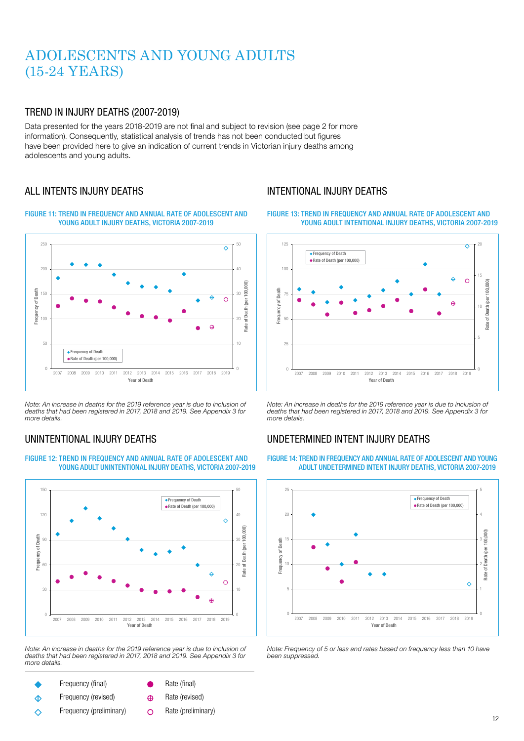# ADOLESCENTS AND YOUNG ADULTS (15-24 YEARS)

## TREND IN INJURY DEATHS (2007-2019)

Data presented for the years 2018-2019 are not final and subject to revision (see page 2 for more information). Consequently, statistical analysis of trends has not been conducted but figures have been provided here to give an indication of current trends in Victorian injury deaths among adolescents and young adults.

## ALL INTENTS INJURY DEATHS





Note: An increase in deaths for the 2019 reference year is due to inclusion of deaths that had been registered in 2017, 2018 and 2019. See Appendix 3 for more details.

# UNINTENTIONAL INJURY DEATHS



FIGURE 12: TREND IN FREQUENCY AND ANNUAL RATE OF ADOLESCENT AND YOUNG ADULT UNINTENTIONAL INJURY DEATHS, VICTORIA 2007-2019

Note: An increase in deaths for the 2019 reference year is due to inclusion of deaths that had been registered in 2017, 2018 and 2019. See Appendix 3 for more details.

- Frequency (final)
- Frequency (revised)  $\hat{\Phi}$
- Frequency (preliminary) ∧
- Rate (final)
- Rate (revised)  $\oplus$
- Rate (preliminary) $\circ$

# INTENTIONAL INJURY DEATHS

FIGURE 13: TREND IN FREQUENCY AND ANNUAL RATE OF ADOLESCENT AND YOUNG ADULT INTENTIONAL INJURY DEATHS, VICTORIA 2007-2019



Note: An increase in deaths for the 2019 reference year is due to inclusion of deaths that had been registered in 2017, 2018 and 2019. See Appendix 3 for more details.

# UNDETERMINED INTENT INJURY DEATHS

FIGURE 14: TREND IN FREQUENCY AND ANNUAL RATE OF ADOLESCENT AND YOUNG ADULT UNDETERMINED INTENT INJURY DEATHS, VICTORIA 2007-2019



Note: Frequency of 5 or less and rates based on frequency less than 10 have been suppressed.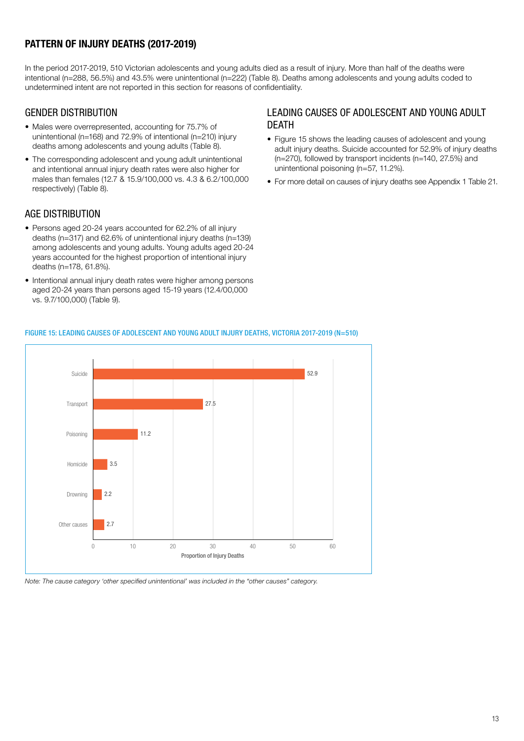# PATTERN OF INJURY DEATHS (2017-2019)

In the period 2017-2019, 510 Victorian adolescents and young adults died as a result of injury. More than half of the deaths were intentional (n=288, 56.5%) and 43.5% were unintentional (n=222) (Table 8). Deaths among adolescents and young adults coded to undetermined intent are not reported in this section for reasons of confidentiality.

## GENDER DISTRIBUTION

- Males were overrepresented, accounting for 75.7% of unintentional (n=168) and 72.9% of intentional (n=210) injury deaths among adolescents and young adults (Table 8).
- The corresponding adolescent and young adult unintentional and intentional annual injury death rates were also higher for males than females (12.7 & 15.9/100,000 vs. 4.3 & 6.2/100,000 respectively) (Table 8).

## AGE DISTRIBUTION

- Persons aged 20-24 years accounted for 62.2% of all injury deaths (n=317) and 62.6% of unintentional injury deaths (n=139) among adolescents and young adults. Young adults aged 20-24 years accounted for the highest proportion of intentional injury deaths (n=178, 61.8%).
- Intentional annual injury death rates were higher among persons aged 20-24 years than persons aged 15-19 years (12.4/00,000 vs. 9.7/100,000) (Table 9).

## LEADING CAUSES OF ADOLESCENT AND YOUNG ADULT DEATH

- Figure 15 shows the leading causes of adolescent and young adult injury deaths. Suicide accounted for 52.9% of injury deaths (n=270), followed by transport incidents (n=140, 27.5%) and unintentional poisoning (n=57, 11.2%).
- For more detail on causes of injury deaths see Appendix 1 Table 21.

# FIGURE 15: LEADING CAUSES OF ADOLESCENT AND YOUNG ADULT INJURY DEATHS, VICTORIA 2017-2019 (N=510)



Note: The cause category 'other specified unintentional' was included in the "other causes" category.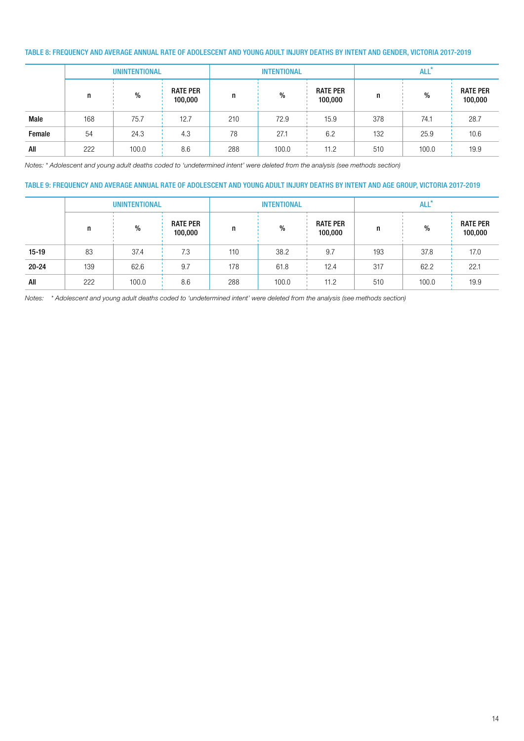### TABLE 8: FREQUENCY AND AVERAGE ANNUAL RATE OF ADOLESCENT AND YOUNG ADULT INJURY DEATHS BY INTENT AND GENDER, VICTORIA 2017-2019

|        |     | <b>UNINTENTIONAL</b> |                            |     | <b>INTENTIONAL</b> |                            | ALL' |       |                            |  |
|--------|-----|----------------------|----------------------------|-----|--------------------|----------------------------|------|-------|----------------------------|--|
|        | n   | $\%$                 | <b>RATE PER</b><br>100,000 | n   | %                  | <b>RATE PER</b><br>100,000 | n    | %     | <b>RATE PER</b><br>100,000 |  |
| Male   | 168 | 75.7                 | 12.7                       | 210 | 72.9               | 15.9                       | 378  | 74.1  | 28.7                       |  |
| Female | 54  | 24.3                 | 4.3                        | 78  | 27.1               | 6.2                        | 132  | 25.9  | 10.6                       |  |
| All    | 222 | 100.0                | 8.6                        | 288 | 100.0              | 11.2                       | 510  | 100.0 | 19.9                       |  |

Notes: \* Adolescent and young adult deaths coded to 'undetermined intent' were deleted from the analysis (see methods section)

### TABLE 9: FREQUENCY AND AVERAGE ANNUAL RATE OF ADOLESCENT AND YOUNG ADULT INJURY DEATHS BY INTENT AND AGE GROUP, VICTORIA 2017-2019

|           |     | <b>UNINTENTIONAL</b> |                            |     | <b>INTENTIONAL</b> |                            | ALL <sup>*</sup> |       |                            |  |
|-----------|-----|----------------------|----------------------------|-----|--------------------|----------------------------|------------------|-------|----------------------------|--|
|           | n   | %                    | <b>RATE PER</b><br>100,000 | n   | $\%$               | <b>RATE PER</b><br>100,000 | п.               | %     | <b>RATE PER</b><br>100,000 |  |
| $15-19$   | 83  | 37.4                 | 7.3                        | 110 | 38.2               | 9.7                        | 193              | 37.8  | 17.0                       |  |
| $20 - 24$ | 139 | 62.6                 | 9.7                        | 178 | 61.8               | 12.4                       | 317              | 62.2  | 22.1                       |  |
| All       | 222 | 100.0                | 8.6                        | 288 | 100.0              | 11.2                       | 510              | 100.0 | 19.9                       |  |

Notes: \* Adolescent and young adult deaths coded to 'undetermined intent' were deleted from the analysis (see methods section)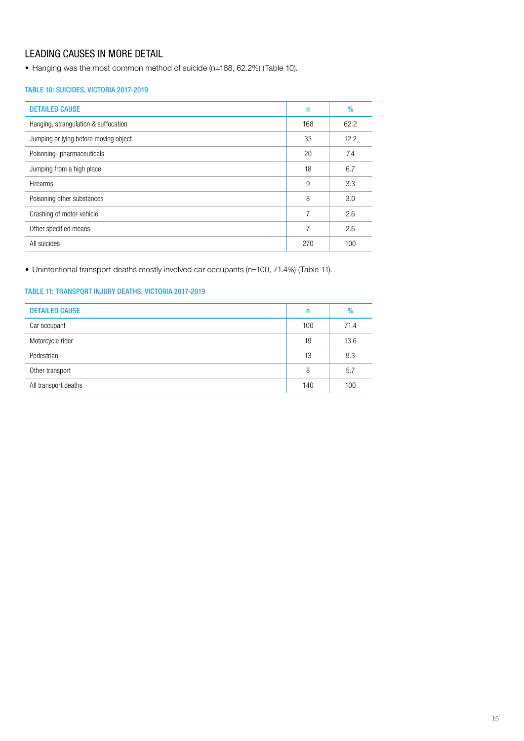# LEADING CAUSES IN MORE DETAIL

• Hanging was the most common method of suicide (n=168, 62.2%) (Table 10).

### TABLE 10: SUICIDES, VICTORIA 2017-2019

| <b>DETAILED CAUSE</b>                 | n   | $\%$ |
|---------------------------------------|-----|------|
| Hanging, strangulation & suffocation  | 168 | 62.2 |
| Jumping or lying before moving object | 33  | 12.2 |
| Poisoning-pharmaceuticals             | 20  | 7.4  |
| Jumping from a high place             | 18  | 6.7  |
| Firearms                              | 9   | 3.3  |
| Poisoning other substances            | 8   | 3.0  |
| Crashing of motor-vehicle             | 7   | 2.6  |
| Other specified means                 | 7   | 2.6  |
| All suicides                          | 270 | 100  |

• Unintentional transport deaths mostly involved car occupants (n=100, 71.4%) (Table 11).

### TABLE 11: TRANSPORT INJURY DEATHS, VICTORIA 2017-2019

| <b>DETAILED CAUSE</b> | n   | %    |
|-----------------------|-----|------|
| Car occupant          | 100 | 71.4 |
| Motorcycle rider      | 19  | 13.6 |
| Pedestrian            | 13  | 9.3  |
| Other transport       | 8   | 5.7  |
| All transport deaths  | 140 | 100  |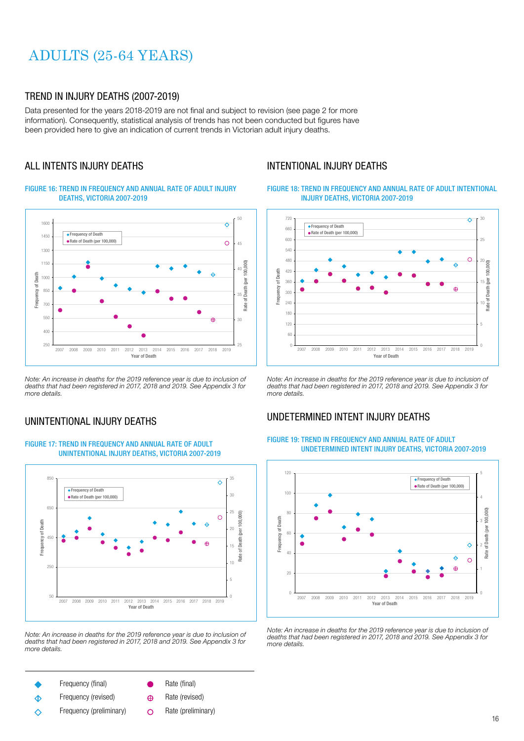# ADULTS (25-64 YEARS)

### TREND IN INJURY DEATHS (2007-2019)

Data presented for the years 2018-2019 are not final and subject to revision (see page 2 for more information). Consequently, statistical analysis of trends has not been conducted but figures have been provided here to give an indication of current trends in Victorian adult injury deaths.

## ALL INTENTS INJURY DEATHS

#### FIGURE 16: TREND IN FREQUENCY AND ANNUAL RATE OF ADULT INJURY DEATHS, VICTORIA 2007-2019



Note: An increase in deaths for the 2019 reference year is due to inclusion of deaths that had been registered in 2017, 2018 and 2019. See Appendix 3 for more details.

## UNINTENTIONAL INJURY DEATHS

#### FIGURE 17: TREND IN FREQUENCY AND ANNUAL RATE OF ADULT UNINTENTIONAL INJURY DEATHS, VICTORIA 2007-2019



Note: An increase in deaths for the 2019 reference year is due to inclusion of deaths that had been registered in 2017, 2018 and 2019. See Appendix 3 for more details.

- Frequency (final)
- Rate (final)
- Frequency (revised)  $\Diamond$
- Frequency (preliminary)  $\Diamond$
- Rate (revised)  $\bigoplus$
- 
- Rate (preliminary) $\Omega$

## INTENTIONAL INJURY DEATHS

#### FIGURE 18: TREND IN FREQUENCY AND ANNUAL RATE OF ADULT INTENTIONAL INJURY DEATHS, VICTORIA 2007-2019



Note: An increase in deaths for the 2019 reference year is due to inclusion of deaths that had been registered in 2017, 2018 and 2019. See Appendix 3 for more details.

## UNDETERMINED INTENT INJURY DEATHS

#### FIGURE 19: TREND IN FREQUENCY AND ANNUAL RATE OF ADULT UNDETERMINED INTENT INJURY DEATHS, VICTORIA 2007-2019



Note: An increase in deaths for the 2019 reference year is due to inclusion of deaths that had been registered in 2017, 2018 and 2019. See Appendix 3 for more details.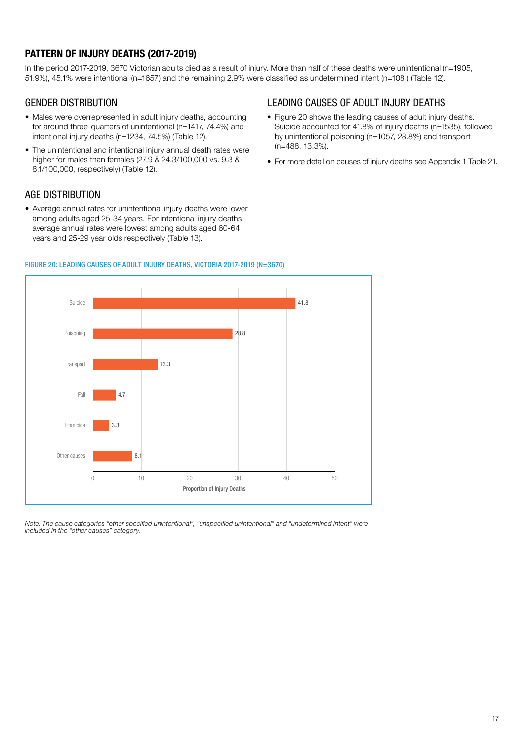# PATTERN OF INJURY DEATHS (2017-2019)

In the period 2017-2019, 3670 Victorian adults died as a result of injury. More than half of these deaths were unintentional (n=1905, 51.9%), 45.1% were intentional (n=1657) and the remaining 2.9% were classified as undetermined intent (n=108 ) (Table 12).

## GENDER DISTRIBUTION

- Males were overrepresented in adult injury deaths, accounting for around three-quarters of unintentional (n=1417, 74.4%) and intentional injury deaths (n=1234, 74.5%) (Table 12).
- The unintentional and intentional injury annual death rates were higher for males than females (27.9 & 24.3/100,000 vs. 9.3 & 8.1/100,000, respectively) (Table 12).

## AGE DISTRIBUTION

• Average annual rates for unintentional injury deaths were lower among adults aged 25-34 years. For intentional injury deaths average annual rates were lowest among adults aged 60-64 years and 25-29 year olds respectively (Table 13).

# 8.1 3.3 4.7 13.3 28.8 41.8 0 10 20 30 40 50 Other causes Homicide Fall **Transport** Poisoning Suicide Proportion of Injury Deaths

### FIGURE 20: LEADING CAUSES OF ADULT INJURY DEATHS, VICTORIA 2017-2019 (N=3670)

Note: The cause categories "other specified unintentional", "unspecified unintentional" and "undetermined intent" were included in the "other causes" category.

# LEADING CAUSES OF ADULT INJURY DEATHS

- Figure 20 shows the leading causes of adult injury deaths. Suicide accounted for 41.8% of injury deaths (n=1535), followed by unintentional poisoning (n=1057, 28.8%) and transport (n=488, 13.3%).
- For more detail on causes of injury deaths see Appendix 1 Table 21.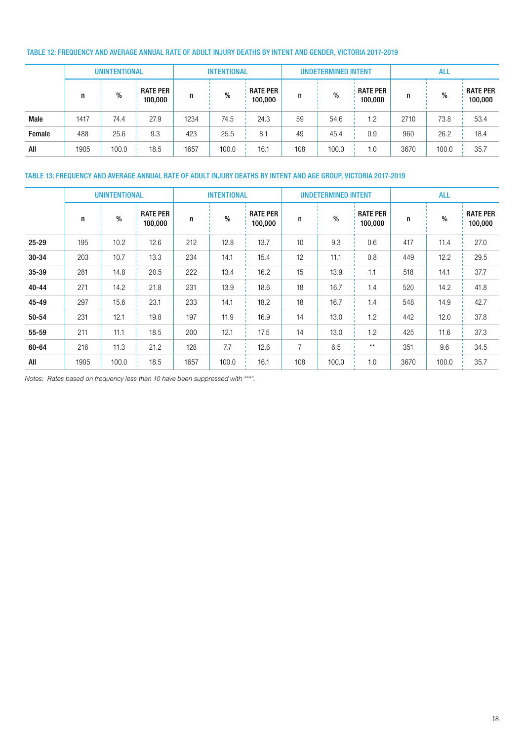### TABLE 12: FREQUENCY AND AVERAGE ANNUAL RATE OF ADULT INJURY DEATHS BY INTENT AND GENDER, VICTORIA 2017-2019

|        | <b>UNINTENTIONAL</b> |       |                            | <b>INTENTIONAL</b> |       |                            | <b>UNDETERMINED INTENT</b> |       |                            | <b>ALL</b> |       |                            |
|--------|----------------------|-------|----------------------------|--------------------|-------|----------------------------|----------------------------|-------|----------------------------|------------|-------|----------------------------|
|        |                      | $\%$  | <b>RATE PER</b><br>100,000 | n                  | %     | <b>RATE PER</b><br>100,000 | n                          | %     | <b>RATE PER</b><br>100,000 | n          | $\%$  | <b>RATE PER</b><br>100,000 |
| Male   | 1417                 | 74.4  | 27.9                       | 1234               | 74.5  | 24.3                       | 59                         | 54.6  | 1.2                        | 2710       | 73.8  | 53.4                       |
| Female | 488                  | 25.6  | 9.3                        | 423                | 25.5  | 8.1                        | 49                         | 45.4  | 0.9                        | 960        | 26.2  | 18.4                       |
| All    | 1905                 | 100.0 | 18.5                       | 1657               | 100.0 | 16.1                       | 108                        | 100.0 | 1.0                        | 3670       | 100.0 | 35.7                       |

### TABLE 13: FREQUENCY AND AVERAGE ANNUAL RATE OF ADULT INJURY DEATHS BY INTENT AND AGE GROUP, VICTORIA 2017-2019

|           |      | <b>UNINTENTIONAL</b> |                            |      | <b>INTENTIONAL</b> |                            |                | <b>UNDETERMINED INTENT</b> |                            | <b>ALL</b> |       |                            |  |
|-----------|------|----------------------|----------------------------|------|--------------------|----------------------------|----------------|----------------------------|----------------------------|------------|-------|----------------------------|--|
|           | n    | $\frac{0}{0}$        | <b>RATE PER</b><br>100,000 | n    | $\%$               | <b>RATE PER</b><br>100,000 | n              | $\%$                       | <b>RATE PER</b><br>100,000 | n          | $\%$  | <b>RATE PER</b><br>100,000 |  |
| 25-29     | 195  | 10.2                 | 12.6                       | 212  | 12.8               | 13.7                       | 10             | 9.3                        | 0.6                        | 417        | 11.4  | 27.0                       |  |
| $30 - 34$ | 203  | 10.7                 | 13.3                       | 234  | 14.1               | 15.4                       | 12             | 11.1                       | 0.8                        | 449        | 12.2  | 29.5                       |  |
| $35 - 39$ | 281  | 14.8                 | 20.5                       | 222  | 13.4               | 16.2                       | 15             | 13.9                       | 1.1                        | 518        | 14.1  | 37.7                       |  |
| $40 - 44$ | 271  | 14.2                 | 21.8                       | 231  | 13.9               | 18.6                       | 18             | 16.7                       | 1.4                        | 520        | 14.2  | 41.8                       |  |
| 45-49     | 297  | 15.6                 | 23.1                       | 233  | 14.1               | 18.2                       | 18             | 16.7                       | 1.4                        | 548        | 14.9  | 42.7                       |  |
| 50-54     | 231  | 12.1                 | 19.8                       | 197  | 11.9               | 16.9                       | 14             | 13.0                       | 1.2                        | 442        | 12.0  | 37.8                       |  |
| 55-59     | 211  | 11.1                 | 18.5                       | 200  | 12.1               | 17.5                       | 14             | 13.0                       | 1.2                        | 425        | 11.6  | 37.3                       |  |
| 60-64     | 216  | 11.3                 | 21.2                       | 128  | 7.7                | 12.6                       | $\overline{7}$ | 6.5                        | $\star\star$               | 351        | 9.6   | 34.5                       |  |
| All       | 1905 | 100.0                | 18.5                       | 1657 | 100.0              | 16.1                       | 108            | 100.0                      | 1.0                        | 3670       | 100.0 | 35.7                       |  |

Notes: Rates based on frequency less than 10 have been suppressed with "\*\*".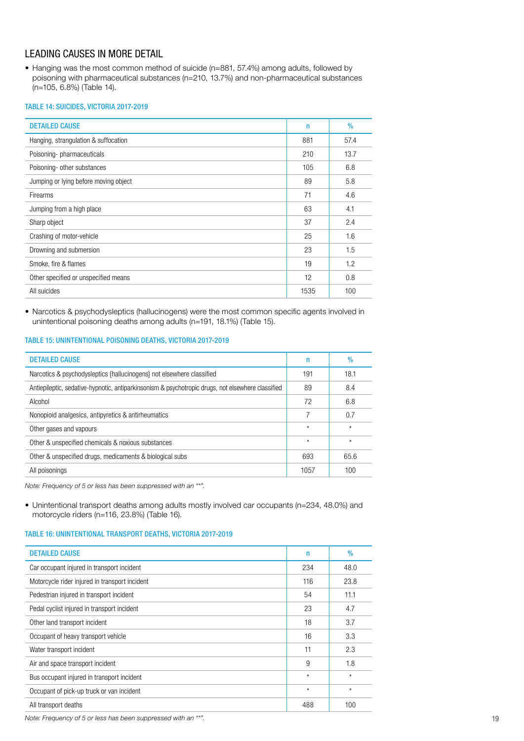# LEADING CAUSES IN MORE DETAIL

• Hanging was the most common method of suicide (n=881, 57.4%) among adults, followed by poisoning with pharmaceutical substances (n=210, 13.7%) and non-pharmaceutical substances (n=105, 6.8%) (Table 14).

#### TABLE 14: SUICIDES, VICTORIA 2017-2019

| <b>DETAILED CAUSE</b>                 | $\mathsf{n}$ | $\%$ |
|---------------------------------------|--------------|------|
| Hanging, strangulation & suffocation  | 881          | 57.4 |
| Poisoning-pharmaceuticals             | 210          | 13.7 |
| Poisoning- other substances           | 105          | 6.8  |
| Jumping or lying before moving object | 89           | 5.8  |
| <b>Firearms</b>                       | 71           | 4.6  |
| Jumping from a high place             | 63           | 4.1  |
| Sharp object                          | 37           | 2.4  |
| Crashing of motor-vehicle             | 25           | 1.6  |
| Drowning and submersion               | 23           | 1.5  |
| Smoke, fire & flames                  | 19           | 1.2  |
| Other specified or unspecified means  | 12           | 0.8  |
| All suicides                          | 1535         | 100  |
|                                       |              |      |

• Narcotics & psychodysleptics (hallucinogens) were the most common specific agents involved in unintentional poisoning deaths among adults (n=191, 18.1%) (Table 15).

### TABLE 15: UNINTENTIONAL POISONING DEATHS, VICTORIA 2017-2019

| <b>DETAILED CAUSE</b>                                                                             | n       | $\%$    |
|---------------------------------------------------------------------------------------------------|---------|---------|
| Narcotics & psychodysleptics {hallucinogens} not elsewhere classified                             | 191     | 18.1    |
| Antiepileptic, sedative-hypnotic, antiparkinsonism & psychotropic drugs, not elsewhere classified | 89      | 8.4     |
| Alcohol                                                                                           | 72      | 6.8     |
| Nonopioid analgesics, antipyretics & antirheumatics                                               |         | 0.7     |
| Other gases and vapours                                                                           | $\star$ | $\star$ |
| Other & unspecified chemicals & noxious substances                                                | $\star$ | $\star$ |
| Other & unspecified drugs, medicaments & biological subs                                          | 693     | 65.6    |
| All poisonings                                                                                    | 1057    | 100     |
|                                                                                                   |         |         |

Note: Frequency of 5 or less has been suppressed with an "\*".

• Unintentional transport deaths among adults mostly involved car occupants (n=234, 48.0%) and motorcycle riders (n=116, 23.8%) (Table 16).

### TABLE 16: UNINTENTIONAL TRANSPORT DEATHS, VICTORIA 2017-2019

| <b>DETAILED CAUSE</b>                          | n       | $\%$    |
|------------------------------------------------|---------|---------|
| Car occupant injured in transport incident     | 234     | 48.0    |
| Motorcycle rider injured in transport incident | 116     | 23.8    |
| Pedestrian injured in transport incident       | 54      | 11.1    |
| Pedal cyclist injured in transport incident    | 23      | 4.7     |
| Other land transport incident                  | 18      | 3.7     |
| Occupant of heavy transport vehicle            | 16      | 3.3     |
| Water transport incident                       | 11      | 2.3     |
| Air and space transport incident               | 9       | 1.8     |
| Bus occupant injured in transport incident     | $\star$ | $\star$ |
| Occupant of pick-up truck or van incident      | $\star$ | $\star$ |
| All transport deaths                           | 488     | 100     |

Note: Frequency of 5 or less has been suppressed with an "\*".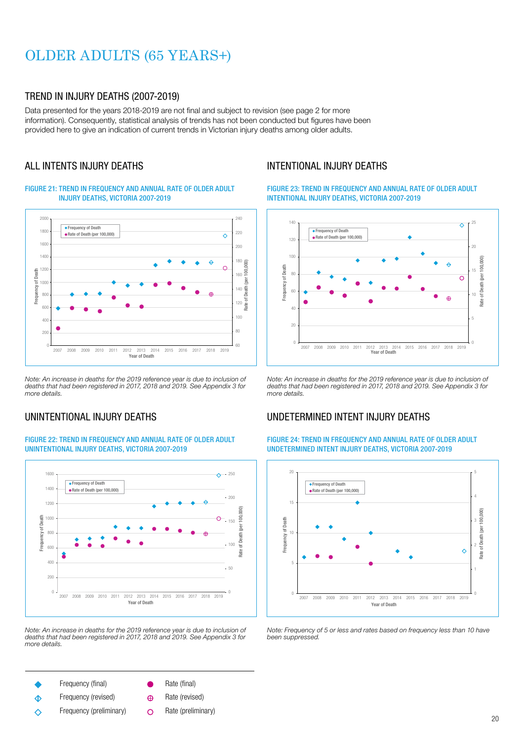# OLDER ADULTS (65 YEARS+)

## TREND IN INJURY DEATHS (2007-2019)

Data presented for the years 2018-2019 are not final and subject to revision (see page 2 for more information). Consequently, statistical analysis of trends has not been conducted but figures have been provided here to give an indication of current trends in Victorian injury deaths among older adults.

## ALL INTENTS INJURY DEATHS

### FIGURE 21: TREND IN FREQUENCY AND ANNUAL RATE OF OLDER ADULT INJURY DEATHS, VICTORIA 2007-2019



Note: An increase in deaths for the 2019 reference year is due to inclusion of deaths that had been registered in 2017, 2018 and 2019. See Appendix 3 for more details.

## UNINTENTIONAL INJURY DEATHS

#### FIGURE 22: TREND IN FREQUENCY AND ANNUAL RATE OF OLDER ADULT UNINTENTIONAL INJURY DEATHS, VICTORIA 2007-2019



Note: An increase in deaths for the 2019 reference year is due to inclusion of deaths that had been registered in 2017, 2018 and 2019. See Appendix 3 for more details.

- Frequency (final)
	- Frequency (revised)  $\Diamond$
	-
	- Frequency (preliminary) ∧
- Rate (final)
- Rate (revised)  $\bigoplus$
- Rate (preliminary) $\circ$

## INTENTIONAL INJURY DEATHS

FIGURE 23: TREND IN FREQUENCY AND ANNUAL RATE OF OLDER ADULT INTENTIONAL INJURY DEATHS, VICTORIA 2007-2019



Note: An increase in deaths for the 2019 reference year is due to inclusion of deaths that had been registered in 2017, 2018 and 2019. See Appendix 3 for more details.

## UNDETERMINED INTENT INJURY DEATHS

### FIGURE 24: TREND IN FREQUENCY AND ANNUAL RATE OF OLDER ADULT UNDETERMINED INTENT INJURY DEATHS, VICTORIA 2007-2019



Note: Frequency of 5 or less and rates based on frequency less than 10 have been suppressed.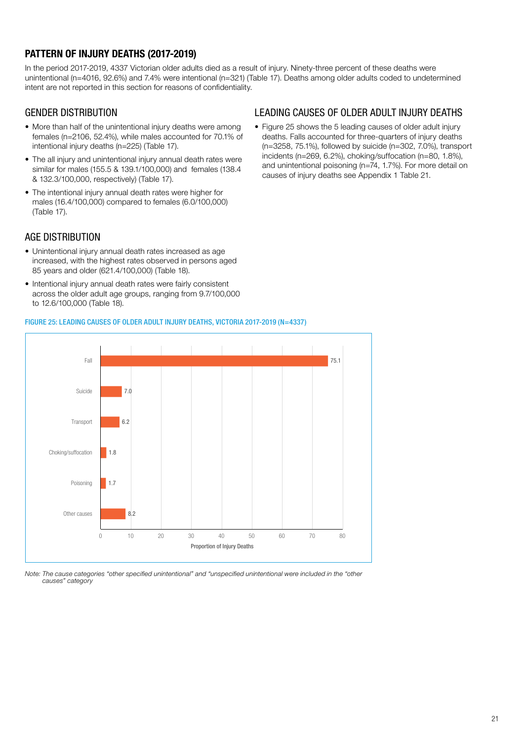# PATTERN OF INJURY DEATHS (2017-2019)

In the period 2017-2019, 4337 Victorian older adults died as a result of injury. Ninety-three percent of these deaths were unintentional (n=4016, 92.6%) and 7.4% were intentional (n=321) (Table 17). Deaths among older adults coded to undetermined intent are not reported in this section for reasons of confidentiality.

## GENDER DISTRIBUTION

- More than half of the unintentional injury deaths were among females (n=2106, 52.4%), while males accounted for 70.1% of intentional injury deaths (n=225) (Table 17).
- The all injury and unintentional injury annual death rates were similar for males (155.5 & 139.1/100,000) and females (138.4 & 132.3/100,000, respectively) (Table 17).
- The intentional injury annual death rates were higher for males (16.4/100,000) compared to females (6.0/100,000) (Table 17).

# AGE DISTRIBUTION

- Unintentional injury annual death rates increased as age increased, with the highest rates observed in persons aged 85 years and older (621.4/100,000) (Table 18).
- Intentional injury annual death rates were fairly consistent across the older adult age groups, ranging from 9.7/100,000 to 12.6/100,000 (Table 18).

## LEADING CAUSES OF OLDER ADULT INJURY DEATHS

• Figure 25 shows the 5 leading causes of older adult injury deaths. Falls accounted for three-quarters of injury deaths (n=3258, 75.1%), followed by suicide (n=302, 7.0%), transport incidents (n=269, 6.2%), choking/suffocation (n=80, 1.8%), and unintentional poisoning (n=74, 1.7%). For more detail on causes of injury deaths see Appendix 1 Table 21.

### FIGURE 25: LEADING CAUSES OF OLDER ADULT INJURY DEATHS, VICTORIA 2017-2019 (N=4337)



Note: The cause categories "other specified unintentional" and "unspecified unintentional were included in the "other causes" category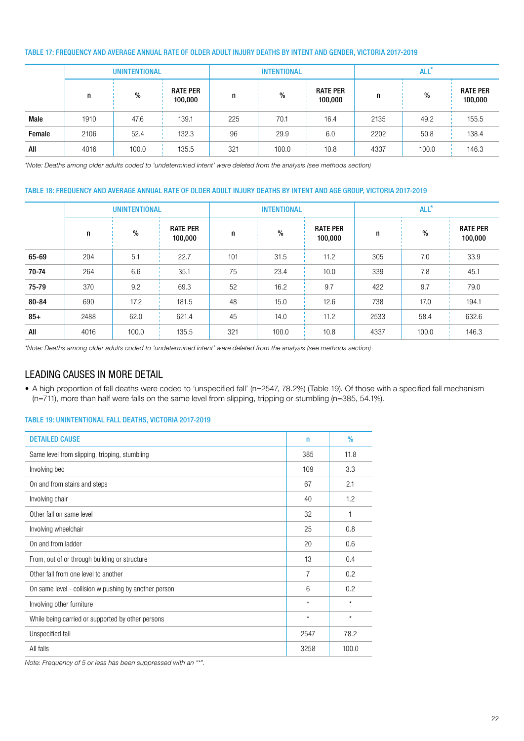### TABLE 17: FREQUENCY AND AVERAGE ANNUAL RATE OF OLDER ADULT INJURY DEATHS BY INTENT AND GENDER, VICTORIA 2017-2019

|        |      | <b>UNINTENTIONAL</b> |                            |     | <b>INTENTIONAL</b> |                            | ALL <sup>*</sup> |       |                            |  |  |
|--------|------|----------------------|----------------------------|-----|--------------------|----------------------------|------------------|-------|----------------------------|--|--|
|        | n    | %                    | <b>RATE PER</b><br>100,000 | n   | %                  | <b>RATE PER</b><br>100,000 | n                | %     | <b>RATE PER</b><br>100,000 |  |  |
| Male   | 1910 | 47.6                 | 139.1                      | 225 | 70.1               | 16.4                       | 2135             | 49.2  | 155.5                      |  |  |
| Female | 2106 | 52.4                 | 132.3                      | 96  | 29.9               | 6.0                        | 2202             | 50.8  | 138.4                      |  |  |
| All    | 4016 | 100.0                | 135.5                      | 321 | 100.0              | 10.8                       | 4337             | 100.0 | 146.3                      |  |  |

\*Note: Deaths among older adults coded to 'undetermined intent' were deleted from the analysis (see methods section)

### TABLE 18: FREQUENCY AND AVERAGE ANNUAL RATE OF OLDER ADULT INJURY DEATHS BY INTENT AND AGE GROUP, VICTORIA 2017-2019

|       |      | <b>UNINTENTIONAL</b> |                            |     | <b>INTENTIONAL</b> |                            | ALL <sup>*</sup> |       |                            |  |  |
|-------|------|----------------------|----------------------------|-----|--------------------|----------------------------|------------------|-------|----------------------------|--|--|
|       | n    | $\%$                 | <b>RATE PER</b><br>100,000 | n   | $\frac{0}{0}$      | <b>RATE PER</b><br>100,000 | n                | $\%$  | <b>RATE PER</b><br>100,000 |  |  |
| 65-69 | 204  | 5.1                  | 22.7                       | 101 | 31.5               | 11.2                       | 305              | 7.0   | 33.9                       |  |  |
| 70-74 | 264  | 6.6                  | 35.1                       | 75  | 23.4               | 10.0                       | 339              | 7.8   | 45.1                       |  |  |
| 75-79 | 370  | 9.2                  | 69.3                       | 52  | 16.2               | 9.7                        | 422              | 9.7   | 79.0                       |  |  |
| 80-84 | 690  | 17.2                 | 181.5                      | 48  | 15.0               | 12.6                       | 738              | 17.0  | 194.1                      |  |  |
| $85+$ | 2488 | 62.0                 | 621.4                      | 45  | 14.0               | 11.2                       | 2533             | 58.4  | 632.6                      |  |  |
| All   | 4016 | 100.0                | 135.5                      | 321 | 100.0              | 10.8                       | 4337             | 100.0 | 146.3                      |  |  |

\*Note: Deaths among older adults coded to 'undetermined intent' were deleted from the analysis (see methods section)

## LEADING CAUSES IN MORE DETAIL

• A high proportion of fall deaths were coded to 'unspecified fall' (n=2547, 78.2%) (Table 19). Of those with a specified fall mechanism (n=711), more than half were falls on the same level from slipping, tripping or stumbling (n=385, 54.1%).

### TABLE 19: UNINTENTIONAL FALL DEATHS, VICTORIA 2017-2019

| <b>DETAILED CAUSE</b>                                 | $\mathsf{n}$   | $\%$    |
|-------------------------------------------------------|----------------|---------|
| Same level from slipping, tripping, stumbling         | 385            | 11.8    |
| Involving bed                                         | 109            | 3.3     |
| On and from stairs and steps                          | 67             | 2.1     |
| Involving chair                                       | 40             | 1.2     |
| Other fall on same level                              | 32             | 1       |
| Involving wheelchair                                  | 25             | 0.8     |
| On and from ladder                                    | 20             | 0.6     |
| From, out of or through building or structure         | 13             | 0.4     |
| Other fall from one level to another                  | $\overline{7}$ | 0.2     |
| On same level - collision w pushing by another person | 6              | 0.2     |
| Involving other furniture                             | $\star$        | $\star$ |
| While being carried or supported by other persons     | $\star$        | $\star$ |
| Unspecified fall                                      | 2547           | 78.2    |
| All falls                                             | 3258           | 100.0   |

Note: Frequency of 5 or less has been suppressed with an "\*".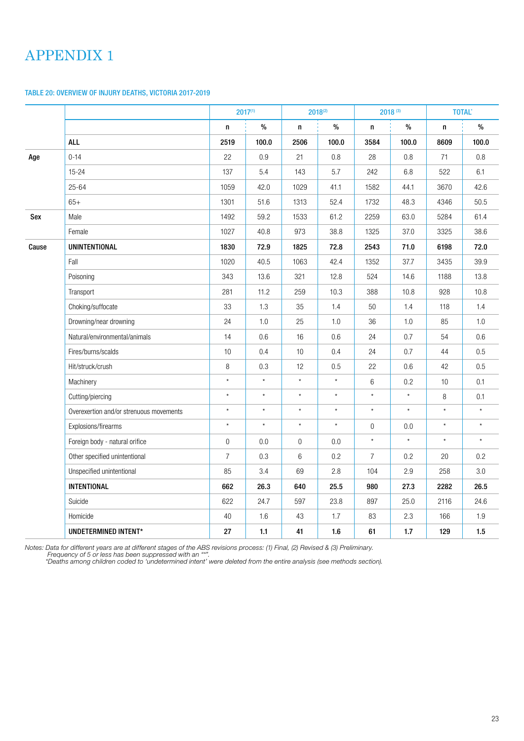# APPENDIX 1

### TABLE 20: OVERVIEW OF INJURY DEATHS, VICTORIA 2017-2019

|       |                                         |                | $2017^{(1)}$ |                  | $2018^{(2)}$ |                  | 2018 (3) |          | <b>TOTAL*</b> |
|-------|-----------------------------------------|----------------|--------------|------------------|--------------|------------------|----------|----------|---------------|
|       |                                         | n              | $\%$         | n                | $\%$         | n                | $\%$     | n        | $\%$          |
|       | <b>ALL</b>                              | 2519           | 100.0        | 2506             | 100.0        | 3584             | 100.0    | 8609     | 100.0         |
| Age   | $0 - 14$                                | 22             | 0.9          | 21               | 0.8          | 28               | 0.8      | 71       | 0.8           |
|       | $15 - 24$                               | 137            | 5.4          | 143              | 5.7          | 242              | 6.8      | 522      | 6.1           |
|       | $25 - 64$                               | 1059           | 42.0         | 1029             | 41.1         | 1582             | 44.1     | 3670     | 42.6          |
|       | $65+$                                   | 1301           | 51.6         | 1313             | 52.4         | 1732             | 48.3     | 4346     | 50.5          |
| Sex   | Male                                    | 1492           | 59.2         | 1533             | 61.2         | 2259             | 63.0     | 5284     | 61.4          |
|       | Female                                  | 1027           | 40.8         | 973              | 38.8         | 1325             | 37.0     | 3325     | 38.6          |
| Cause | <b>UNINTENTIONAL</b>                    | 1830           | 72.9         | 1825             | 72.8         | 2543             | 71.0     | 6198     | 72.0          |
|       | Fall                                    | 1020           | 40.5         | 1063             | 42.4         | 1352             | 37.7     | 3435     | 39.9          |
|       | Poisoning                               | 343            | 13.6         | 321              | 12.8         | 524              | 14.6     | 1188     | 13.8          |
|       | Transport                               | 281            | 11.2         | 259              | 10.3         | 388              | 10.8     | 928      | 10.8          |
|       | Choking/suffocate                       | 33             | 1.3          | 35               | 1.4          | 50               | 1.4      | 118      | 1.4           |
|       | Drowning/near drowning                  | 24             | 1.0          | 25               | 1.0          | 36               | 1.0      | 85       | 1.0           |
|       | Natural/environmental/animals           | 14             | 0.6          | 16               | 0.6          | 24               | 0.7      | 54       | 0.6           |
|       | Fires/burns/scalds                      | $10$           | 0.4          | $10$             | 0.4          | 24               | 0.7      | 44       | 0.5           |
|       | Hit/struck/crush                        | $\,8\,$        | 0.3          | 12               | 0.5          | 22               | 0.6      | 42       | 0.5           |
|       | Machinery                               | $\star$        | $^\star$     | $^\star$         | $\star$      | $\,6\,$          | 0.2      | 10       | 0.1           |
|       | Cutting/piercing                        | $^\star$       | $\star$      | $\star$          | $\star$      | $\star$          | $\star$  | 8        | 0.1           |
|       | Overexertion and/or strenuous movements | $\star$        | $\star$      | $^\star$         | $\star$      | $\star$          | $\star$  | $\star$  | $\star$       |
|       | Explosions/firearms                     | $\star$        | $\star$      | $^\star$         | $\star$      | $\boldsymbol{0}$ | 0.0      | $\star$  | $\star$       |
|       | Foreign body - natural orifice          | $\overline{0}$ | 0.0          | $\boldsymbol{0}$ | 0.0          | $\star$          | $\star$  | $^\star$ | $\star$       |
|       | Other specified unintentional           | $\overline{7}$ | 0.3          | $\,6$            | 0.2          | $\overline{7}$   | 0.2      | 20       | 0.2           |
|       | Unspecified unintentional               | 85             | 3.4          | 69               | 2.8          | 104              | 2.9      | 258      | 3.0           |
|       | <b>INTENTIONAL</b>                      | 662            | 26.3         | 640              | 25.5         | 980              | 27.3     | 2282     | 26.5          |
|       | Suicide                                 | 622            | 24.7         | 597              | 23.8         | 897              | 25.0     | 2116     | 24.6          |
|       | Homicide                                | 40             | 1.6          | 43               | 1.7          | 83               | 2.3      | 166      | 1.9           |
|       | UNDETERMINED INTENT*                    | 27             | 1.1          | 41               | 1.6          | 61               | 1.7      | 129      | 1.5           |

Notes: Data for different years are at different stages of the ABS revisions process: (1) Final, (2) Revised & (3) Preliminary.

Frequency of 5 or less has been suppressed with an "\*".

\*Deaths among children coded to 'undetermined intent' were deleted from the entire analysis (see methods section).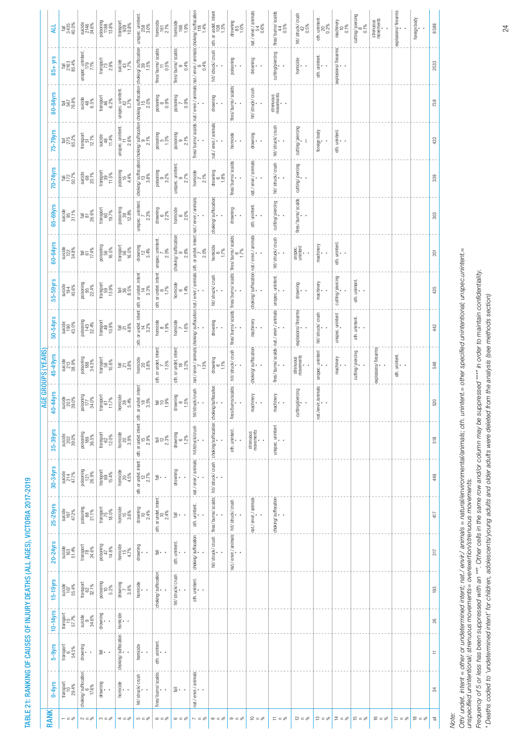| ֧֧֧֧֧֧֧֧֧֧֧֧֧֧֧֧֧֧֧֧֧֧֧֚֚֚֚֚֚֚֚֚֚֚֚֚֚֚֚֚֚֚֚֚֚֝֘֝֝֬֝֓֝֬֝֬֝֓֝֬֝֓֝֬֝֬֝֬֝֬֝֬֝֬֝֬֝֬֝֬֝֬֝֬֬<br>֧֧֧֧֧֧֪֪֪֪֪֪֪֪֪֪֪֪֪֪֪֪֪֪֪֪֚֚֝֩ |
|-------------------------------------------------------------------------------------------------------------------------|
|                                                                                                                         |
|                                                                                                                         |
|                                                                                                                         |
|                                                                                                                         |
|                                                                                                                         |
|                                                                                                                         |
|                                                                                                                         |
| ֖֖֖֚֚֚֚֚֚֚֚֚֚֚֝<br>֧֪֪֪֪֪֪֪֪֪֪֪֪֝֝֝֝֩׀<br>֧֪֘֬֘                                                                         |
|                                                                                                                         |
|                                                                                                                         |
|                                                                                                                         |
|                                                                                                                         |
|                                                                                                                         |
|                                                                                                                         |
| - 1<br>(                                                                                                                |
|                                                                                                                         |
|                                                                                                                         |
|                                                                                                                         |
|                                                                                                                         |
|                                                                                                                         |
|                                                                                                                         |
|                                                                                                                         |
|                                                                                                                         |
| Ì                                                                                                                       |
|                                                                                                                         |
|                                                                                                                         |
|                                                                                                                         |
|                                                                                                                         |
|                                                                                                                         |
|                                                                                                                         |
|                                                                                                                         |
|                                                                                                                         |
|                                                                                                                         |
|                                                                                                                         |
|                                                                                                                         |
|                                                                                                                         |
|                                                                                                                         |
|                                                                                                                         |
|                                                                                                                         |
|                                                                                                                         |
|                                                                                                                         |
|                                                                                                                         |
|                                                                                                                         |
|                                                                                                                         |
|                                                                                                                         |
|                                                                                                                         |
|                                                                                                                         |
|                                                                                                                         |
|                                                                                                                         |
|                                                                                                                         |
|                                                                                                                         |
|                                                                                                                         |
|                                                                                                                         |
|                                                                                                                         |
|                                                                                                                         |
|                                                                                                                         |
|                                                                                                                         |
|                                                                                                                         |
|                                                                                                                         |
|                                                                                                                         |
|                                                                                                                         |
|                                                                                                                         |
|                                                                                                                         |
| ļ                                                                                                                       |
|                                                                                                                         |
|                                                                                                                         |

|                    | 4LL           | fall<br>3435<br>40.0%                                                  | suicide<br>2146<br>24.6%                                                      | poisoning<br>1188<br>13.8%                                           | $\begin{array}{c}\n \text{transport} \\  928 \\  \text{10.8}\n \end{array}$     | unspec. unintent.<br>258<br>3.0%                                                                                                                                                                                                    | $\begin{array}{c} \hbox{homicide} \\ 161 \\ 2.1\% \end{array}$                                             | homicide<br>166<br>1.9%                |                                                                                                              |                                                                                                        | drowning<br>$^{85}_{1.0\%}$                                                                                                                                 |                                          | fires/ burns/ scalds<br>$44$<br>$0.5\%$                 | hit/ struck/ crush<br>42<br>0.5%       | oth. unintent.<br>$\frac{20}{0.2\%}$                           | machinery<br>$\begin{array}{c} 10 \\ 10 \\ 0.1\% \end{array}$ | cutting/piercing<br>$0.1\%$              | strenuous<br>movements      | explosions/ firearms           | foreign body                  | 8588     |
|--------------------|---------------|------------------------------------------------------------------------|-------------------------------------------------------------------------------|----------------------------------------------------------------------|---------------------------------------------------------------------------------|-------------------------------------------------------------------------------------------------------------------------------------------------------------------------------------------------------------------------------------|------------------------------------------------------------------------------------------------------------|----------------------------------------|--------------------------------------------------------------------------------------------------------------|--------------------------------------------------------------------------------------------------------|-------------------------------------------------------------------------------------------------------------------------------------------------------------|------------------------------------------|---------------------------------------------------------|----------------------------------------|----------------------------------------------------------------|---------------------------------------------------------------|------------------------------------------|-----------------------------|--------------------------------|-------------------------------|----------|
|                    | $85 + yrs$    | fall<br>2163<br>85.4%                                                  | unspec. unintent.<br>179<br>7.1%                                              | transport<br>$\frac{73}{73}$                                         | suicide<br>$43$<br>$1.7%$                                                       |                                                                                                                                                                                                                                     | fires/ burns/ scalds<br>$^{11}_{0.5\%}$                                                                    | fires/ burns/ scalds<br>9<br>0.4%      |                                                                                                              |                                                                                                        | poisoning                                                                                                                                                   | drowning                                 | cutting/piercing                                        | homicide                               | oth. unintent.                                                 | explosions/firearms                                           |                                          |                             |                                |                               | 2533     |
|                    | 80-84yrs      | Fall<br>567<br>76.8%                                                   | suicide<br>$48$<br>$6.5%$                                                     | transport<br>$46$<br>$6.2\%$                                         | unspec. unintent.<br>$42$<br>5.7%                                               |                                                                                                                                                                                                                                     | poisoning<br>$\begin{matrix}6\\6\end{matrix}$<br>$0.9\%$                                                   | poisoning<br>0.9%                      |                                                                                                              | drowning                                                                                               | fires/burns/scalds                                                                                                                                          | hit/struck/crush                         | strenuous<br>movements<br>*                             |                                        |                                                                |                                                               |                                          |                             |                                |                               | 738      |
|                    | 75-79yrs      | fall<br>275<br>65.2%                                                   | transport<br>$\frac{51}{12.1\%}$                                              | suicide<br>$48$<br>11.4%                                             | unspec. unintent.<br>$\frac{17}{2.6\%}$                                         |                                                                                                                                                                                                                                     | poisoning<br>1.3%<br>1.3%                                                                                  | poisoning<br>$9\atop{2.1\%}$           |                                                                                                              | nat./envir./animals                                                                                    | homicide                                                                                                                                                    | drowning                                 | hit/struck/crush                                        | cutting/piercing                       | foreign body                                                   | oth. unintent.<br>*                                           |                                          |                             |                                |                               | 422      |
|                    | 70-74yrs      | $rac{611}{172}$<br>50.7%                                               | suicide<br>$68$<br>$20.1\%$                                                   | $\begin{array}{c} {\rm transport} \\ 39 \\ 11.5\% \end{array}$       | poisoning<br>$15$<br>$4.4\%$                                                    | choking/ suffocation/choking/ suffocation/choking suffocation/ choking/ suffocation/<br>- المناقبة المناقبة المناقبة المناقبة المناقبة المناقبة المناقبة المناقبة المناقبة المناقبة المناقبة المناقبة<br>- المناقبة المناقبة المناق | poisoning<br>3.2%                                                                                          | unspec. unintent.<br>$\frac{9}{2.7\%}$ | homicide<br>$2.1\%$                                                                                          | drowning<br>$6\atop 1.8\%$                                                                             | fires/burns/scalds                                                                                                                                          | nat./envir./animals                      | hit/struck/crush                                        |                                        |                                                                |                                                               |                                          |                             |                                |                               | 339      |
|                    | 65-69yrs      | suicide<br>95<br>31.1%                                                 | $\frac{7}{100}$ and<br>$\frac{1}{20}$                                         | $\begin{array}{c} {\rm transport} \\ 60 \\ 19.7\% \end{array}$       | poisoning<br>39<br>12.8%                                                        | unspec. unintent.<br>2.3%                                                                                                                                                                                                           | drowning<br>$6$<br>$2.2%$                                                                                  | homicide<br>$6^{0.6}$                  |                                                                                                              | choking/suffocation                                                                                    | drowning                                                                                                                                                    | $\circ$ th. unintent.                    | cutting/piercing                                        | fires/ burns/ scalds cutting/ piercing |                                                                |                                                               |                                          |                             |                                |                               | 305      |
|                    | 60-64yrs      | $\frac{122}{122}$<br>34.8%                                             | $\begin{array}{l} \frac{1}{100} \\ 0 \\ 1 \\ 0 \\ \frac{1}{100} \end{array}$  | poisoning<br>56<br>16.0%                                             | $\frac{1}{16.0\%}$<br>16.0%                                                     | drowning<br>$\frac{12}{3.4\%}$                                                                                                                                                                                                      | $unspec.$ unintent.<br>2.5%                                                                                | choking/suffocation<br>9<br>2.6%       | nat./envir./animals/choking/ suffocation/nat./envir./animals/oth.or undet.intent/nat./envir./animals<br>2.0% | $\begin{array}{c}\n\text{homicide} \\ \uparrow 7\% \\ \uparrow 7\% \n\end{array}$                      |                                                                                                                                                             |                                          | hit/struck/crush                                        | unspec.<br>unintent                    | machinery                                                      | oth. unintent.<br>*                                           |                                          |                             |                                |                               | $351$    |
|                    | 55-59yrs      | suicide<br>194<br>45.6%                                                | poisoning<br>$95$<br>$22.4\%$                                                 | transport<br>13.9%<br>13.9%                                          | $188^{\circ}_{\circ}$                                                           |                                                                                                                                                                                                                                     | oth. or undet. intent<br>67%                                                                               | $\frac{6}{1.4\%}$                      |                                                                                                              | hit/ struck/ crush                                                                                     | hit/ struck/ crush   fires/ burns/ scalds   fires/ burns/ scalds   fires/ burns/ scalds<br>hit/ struck/ crush   fires/ burns/ scalds   fires/ burns/ scalds | choking/suffocation.nat./envir./animals. |                                                         | drowning                               | machinery                                                      | cutting/piercing                                              | oth. unintent.                           |                             |                                |                               | 425      |
|                    | 50-54yrs      | suicide<br>190<br>43.0%                                                | poisoning<br>143<br>32.4%                                                     | $\begin{array}{c} \text{transport} \\ 48 \\ 10.9\% \end{array}$      | $\frac{1}{2}$<br>$\frac{2}{4}$<br>$\frac{3}{8}$                                 | oth. or undet. intent, oth. or undet. intent<br>$\begin{bmatrix} 14 & 3 \\ 14 & 3.2\% \end{bmatrix}$ $\begin{bmatrix} 14 & 3.3\% \\ 3.3\% \end{bmatrix}$                                                                            | homicide<br>$^{86}_{-1.9\%}$                                                                               | homicide<br>$-6%$                      |                                                                                                              | drowning                                                                                               |                                                                                                                                                             | machinery                                |                                                         | explosions/firearms                    | hit/struck/crush                                               | $unspec.$ unintent                                            | oth. unintent.<br>*                      |                             |                                |                               | 442      |
| AGE GROUPS (YEARS) | 45-49yrs      | $\frac{213}{213}$<br>38.9%                                             | poisoning<br>188<br>34.3%                                                     | $\frac{1}{10.6\%}$                                                   | $\frac{1}{27}$<br>$\frac{1}{28}$                                                | $\begin{array}{c}\n  \  \  \text{homicide} \\  20 \\  3.8\% \n \end{array}$                                                                                                                                                         | oth. or undet. intent<br>1.5%                                                                              | oth. or undet. intent<br>18<br>3.3%    | $13\%$                                                                                                       | $\begin{array}{c}\n\text{drowing} \\ 6 \\ \text{I.1\%}\n\end{array}$                                   |                                                                                                                                                             | choking/ suffocation                     | fires/burns/scalds nat./envir./animals unspec.unintent. | strenuous<br>movements                 | $unspec.$ unintent                                             | machinery                                                     | cutting/piercing                         | explosions/ firearms        | oth. unintent.<br>*            |                               | 548      |
|                    | -44yrs<br>\$  | suicide<br>203<br>39.0%                                                | poisoning<br>$\frac{177}{34.0\%}$                                             | $\begin{array}{c} \text{transport} \\ 61 \\ 11.7\% \end{array}$      | homicide<br>$\frac{28}{5.4\%}$                                                  |                                                                                                                                                                                                                                     | $\overline{\overline{\overline{a}}} \stackrel{\triangle}{=} \stackrel{\triangle}{\overline{\overline{a}}}$ | drowning<br>$\frac{86}{9}$             | hit/struck/crush                                                                                             |                                                                                                        | fires/burns/scalds                                                                                                                                          | machinery                                | machinery                                               | cutting/piercing                       | nat/envir/animals                                              |                                                               |                                          |                             |                                |                               | 520      |
|                    | 35-39yrs      | suicide<br>202<br>39.0%                                                | poisoning<br>189<br>36.5%                                                     | $\begin{array}{c} {\rm transport} \\ 62 \\ {\rm 12.0\%} \end{array}$ | $\begin{array}{l}\n  \  \  \, \text{homicide} \\  20 \\  3.9\% \\  \end{array}$ |                                                                                                                                                                                                                                     | $rac{12}{12}$<br>2.3%                                                                                      | drowning<br>$6$<br>$1.2\%$             | hit/struck/crush                                                                                             |                                                                                                        | oth. unintent.                                                                                                                                              | strenuous<br>movements                   | unspec. unintent<br>*<br>*                              |                                        |                                                                |                                                               |                                          |                             |                                |                               | 518      |
|                    | 30-34yrs      | suicide<br>$^{214}_{47.7\%}$                                           | poisoning<br>121<br>26.9%                                                     | transport<br>15.4%<br>15.4%                                          | $\frac{100}{20}$<br>4.5%                                                        | oth or undet. intent   oth or undet intent   oth or undet. intent<br>$12$<br>$2.7\%$ $2.9\%$                                                                                                                                        |                                                                                                            | drowning                               | nat./ envir./ animals                                                                                        | intradition (chaos) and these states with the process is a press (small ; identified ) when you is the |                                                                                                                                                             |                                          |                                                         |                                        |                                                                |                                                               |                                          |                             |                                |                               | 449      |
|                    | 25-29yrs      | suicide<br>$\frac{197}{47.2\%}$                                        | $\frac{1}{2}$ poisoning<br>$\frac{1}{2}$<br>21.1%                             | transport<br>18.0%                                                   | homicide<br>$15\frac{6}{3}$                                                     | drowning<br>$\frac{10}{2.4\%}$                                                                                                                                                                                                      | oth. or undet. intent<br>$\frac{10}{2.4\%}$                                                                | $\overline{\overline{\mathbb{a}}}$     | oth. unintent.                                                                                               |                                                                                                        |                                                                                                                                                             | nat./envir./animals                      | choking/ suffocation                                    |                                        |                                                                |                                                               |                                          |                             |                                |                               | 417      |
|                    | $20 - 24$ yrs | suicide<br>163<br>51.4%                                                | $\begin{array}{l} \text{transport} \\ \text{78} \\ \text{24.6\%} \end{array}$ | poisoning<br>$47$<br>14.8%                                           | homicide<br>$^{15}_{4.7\%}$                                                     | drowning                                                                                                                                                                                                                            |                                                                                                            | oth. unintent.                         | choking/suffocation                                                                                          |                                                                                                        | nat/envir/animals/hit/struck/crush                                                                                                                          |                                          |                                                         |                                        |                                                                |                                                               |                                          |                             |                                |                               | $317$    |
|                    | $15-19yrs$    | suicide<br>$107$<br>$55.4%$                                            | $\frac{1}{62}$<br>$\frac{62}{32.1\%}$                                         | poisoning<br>10<br>5.2%                                              | drowning<br>3.6%                                                                | homicide                                                                                                                                                                                                                            | choking/suffocation                                                                                        | hit/struck/crush                       | oth. unintent.                                                                                               |                                                                                                        |                                                                                                                                                             |                                          |                                                         |                                        |                                                                |                                                               |                                          |                             |                                |                               | 193      |
|                    | $10-14$ yrs   | $\begin{array}{c} \text{transport} \\ 15 \\ \text{57.7\%} \end{array}$ | suicide<br>$34.6\%$                                                           | drowning                                                             | homicide                                                                        |                                                                                                                                                                                                                                     |                                                                                                            |                                        |                                                                                                              |                                                                                                        |                                                                                                                                                             |                                          |                                                         |                                        |                                                                |                                                               |                                          |                             |                                |                               | 26       |
|                    | $5 - 9y$ rs   | transport<br>$6$<br>54.5%                                              | drowning                                                                      | $\overline{\overline{\mathbb{B}}}$ .                                 | choking/suffocation                                                             | homicide                                                                                                                                                                                                                            | oth. unintent.<br>$^\star$                                                                                 |                                        |                                                                                                              |                                                                                                        |                                                                                                                                                             |                                          |                                                         |                                        |                                                                |                                                               |                                          |                             |                                |                               | $\equiv$ |
|                    | $0-4yrs$      | transport<br>10<br>29.4%                                               | choking/suffocation<br>$17.6\%$                                               | drowning                                                             | homicide                                                                        | hit/struck/crush                                                                                                                                                                                                                    | fires/burns/scalds                                                                                         | $\overline{\overline{\overline{a}}}$ : | nat/envir/animals                                                                                            |                                                                                                        |                                                                                                                                                             |                                          |                                                         |                                        |                                                                |                                                               |                                          |                             |                                |                               | 34       |
|                    | <b>RANK</b>   | $=$ $=$ $\geq$                                                         |                                                                               | $\infty \subset \mathbb{S}_0$                                        | $\approx$ $\approx$                                                             | $\mathbb{S}_6 \supset \mathbb{C}$                                                                                                                                                                                                   | $\infty = 9$                                                                                               | $\infty = 8$                           | $\approx$ $\approx$ $\approx$                                                                                | $\infty \, \subset \, \mathcal{S}_6$                                                                   | $\infty$ = $\infty$                                                                                                                                         | $\Omega = 8$                             | $=$ $=$ $\geq$                                          | $\frac{1}{n} = \frac{1}{n}$            | $\mathop{\mathfrak{S}}\nolimits=\mathop{\mathcal{E}}\nolimits$ | $\frac{4}{5}$ = $\frac{1}{5}$                                 | $\frac{10}{10}$ $\equiv$ $\frac{10}{10}$ | $\mathcal{Z} = \mathcal{Z}$ | $\mathbb{S}_6 = \frac{1}{n^2}$ | $\frac{1}{2}$ = $\frac{1}{2}$ |          |

Note:

Oth/ undet. Intent = other or undetermined intent; nat./ envir./ animals = natural/environmental/animals; oth. unintent = other specified unintentional; unspec.unintent.=<br>unspecified unintentional; strenuous movements= ove Oth/ undet. intent = other or undetermined intent; nat./ envir./ animals = natural/environmental/animals; oth. unintent.= other specified unintentional; unspec.unintent.= unspecified unintentional; strenuous movements= overexertion/strenuous movements.

Frequency of 5 or less has been suppressed with an "\*". Other cells in the same row and/or column may be suppressed "\*\*" in order to maintain confidentiality. Frequency of 5 or less has been suppressed with an "\*". Other cells in the same row and/or column may be suppressed "\*\*" in order to maintain confidentiality. \* Deaths coded to 'undetermined intent' for children, adolescents/young adults and older adults were deleted from the analysis (see methods section) \* Deaths coded to 'undetermined intent' for children, adolescents/young adults and older adults were deleted from the analysis (see methods section)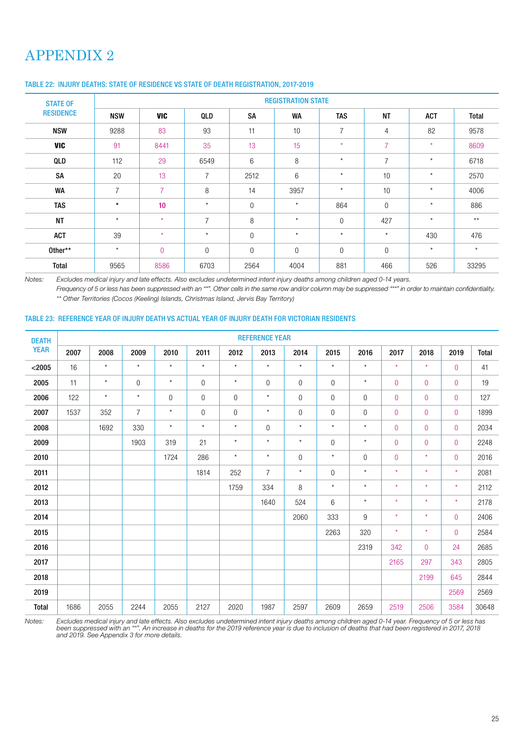# APPENDIX 2

| <b>STATE OF</b>  |                |                |                |                | <b>REGISTRATION STATE</b> |                |                |          |              |
|------------------|----------------|----------------|----------------|----------------|---------------------------|----------------|----------------|----------|--------------|
| <b>RESIDENCE</b> | <b>NSW</b>     | <b>VIC</b>     | QLD            | <b>SA</b>      | <b>WA</b>                 | <b>TAS</b>     | <b>NT</b>      | ACT      | <b>Total</b> |
| <b>NSW</b>       | 9288           | 83             | 93             | 11             | 10                        | $\overline{7}$ | $\overline{4}$ | 82       | 9578         |
| <b>VIC</b>       | 91             | 8441           | 35             | 13             | 15                        | $\star$        | $\overline{7}$ | $\star$  | 8609         |
| QLD              | 112            | 29             | 6549           | 6              | 8                         | $\star$        | $\overline{7}$ | $^\star$ | 6718         |
| SA               | 20             | 13             | $\overline{7}$ | 2512           | 6                         | $\star$        | 10             | $\star$  | 2570         |
| <b>WA</b>        | $\overline{7}$ | $\overline{7}$ | 8              | 14             | 3957                      | $\star$        | 10             | $\star$  | 4006         |
| <b>TAS</b>       | $\star$        | 10             | $\star$        | $\overline{0}$ | $\star$                   | 864            | $\overline{0}$ | $\star$  | 886          |
| <b>NT</b>        | $\star$        | $\star$        | $\overline{7}$ | 8              | $\star$                   | 0              | 427            | $\star$  | $***$        |
| <b>ACT</b>       | 39             | $\star$        | $\star$        | $\overline{0}$ | $\star$                   | $\star$        | $\star$        | 430      | 476          |
| Other**          | $\star$        | $\overline{0}$ | $\overline{0}$ | $\mathbf{0}$   | $\Omega$                  | $\overline{0}$ | $\overline{0}$ | $\star$  | $\star$      |
| Total            | 9565           | 8586           | 6703           | 2564           | 4004                      | 881            | 466            | 526      | 33295        |

### TABLE 22: INJURY DEATHS: STATE OF RESIDENCE VS STATE OF DEATH REGISTRATION, 2017-2019

Notes: Excludes medical injury and late effects. Also excludes undetermined intent injury deaths among children aged 0-14 years.

Frequency of 5 or less has been suppressed with an "\*". Other cells in the same row and/or column may be suppressed "\*\*" in order to maintain confidentiality. \*\* Other Territories (Cocos (Keeling) Islands, Christmas Island, Jervis Bay Territory)

#### TABLE 23: REFERENCE YEAR OF INJURY DEATH VS ACTUAL YEAR OF INJURY DEATH FOR VICTORIAN RESIDENTS

| <b>DEATH</b> |      |         |                |                |         |                | <b>REFERENCE YEAR</b> |                |                  |             |                |                |                |              |
|--------------|------|---------|----------------|----------------|---------|----------------|-----------------------|----------------|------------------|-------------|----------------|----------------|----------------|--------------|
| <b>YEAR</b>  | 2007 | 2008    | 2009           | 2010           | 2011    | 2012           | 2013                  | 2014           | 2015             | 2016        | 2017           | 2018           | 2019           | <b>Total</b> |
| < 2005       | 16   | $\star$ | $\star$        | $\star$        | $\star$ | $^\star$       | $\star$               | $\star$        | $^\star$         | $\star$     | $\star$        | $\star$        | $\mathbf 0$    | 41           |
| 2005         | 11   | $\star$ | $\overline{0}$ | $\star$        | 0       | $^\star$       | $\mathbf 0$           | $\overline{0}$ | $\overline{0}$   | $\star$     | $\overline{0}$ | $\overline{0}$ | $\overline{0}$ | 19           |
| 2006         | 122  | $\star$ | $^\star$       | $\overline{0}$ | 0       | $\overline{0}$ | $\star$               | $\overline{0}$ | $\overline{0}$   | $\mathbf 0$ | $\overline{0}$ | $\overline{0}$ | $\mathbf 0$    | 127          |
| 2007         | 1537 | 352     | $\overline{7}$ | $\star$        | 0       | $\mathbf 0$    | $\star$               | $\mathbf 0$    | $\mathbf 0$      | $\mathbf 0$ | $\mathbf 0$    | $\mathbf 0$    | $\mathbf 0$    | 1899         |
| 2008         |      | 1692    | 330            | $\star$        | $\star$ | $\star$        | $\boldsymbol{0}$      | $\star$        | $\star$          | $\star$     | $\bf 0$        | $\overline{0}$ | $\mathbf 0$    | 2034         |
| 2009         |      |         | 1903           | 319            | 21      | $\star$        | $\star$               | $\star$        | $\boldsymbol{0}$ | $\star$     | $\bf 0$        | $\overline{0}$ | $\mathbf 0$    | 2248         |
| 2010         |      |         |                | 1724           | 286     | $\star$        | $\star$               | $\overline{0}$ | $\star$          | $\mathbf 0$ | $\overline{0}$ | $\star$        | $\overline{0}$ | 2016         |
| 2011         |      |         |                |                | 1814    | 252            | $\overline{7}$        | $\star$        | $\boldsymbol{0}$ | $\star$     | $\star$        | $\star$        | $\star$        | 2081         |
| 2012         |      |         |                |                |         | 1759           | 334                   | $\,8\,$        | $\star$          | $\star$     | $\star$        | $\star$        | $\star$        | 2112         |
| 2013         |      |         |                |                |         |                | 1640                  | 524            | $6\phantom{1}6$  | $\star$     | $\star$        | $\star$        | $\star$        | 2178         |
| 2014         |      |         |                |                |         |                |                       | 2060           | 333              | 9           | $\star$        | $\star$        | $\mathbf 0$    | 2406         |
| 2015         |      |         |                |                |         |                |                       |                | 2263             | 320         | $\star$        | $\star$        | $\overline{0}$ | 2584         |
| 2016         |      |         |                |                |         |                |                       |                |                  | 2319        | 342            | $\overline{0}$ | 24             | 2685         |
| 2017         |      |         |                |                |         |                |                       |                |                  |             | 2165           | 297            | 343            | 2805         |
| 2018         |      |         |                |                |         |                |                       |                |                  |             |                | 2199           | 645            | 2844         |
| 2019         |      |         |                |                |         |                |                       |                |                  |             |                |                | 2569           | 2569         |
| Total        | 1686 | 2055    | 2244           | 2055           | 2127    | 2020           | 1987                  | 2597           | 2609             | 2659        | 2519           | 2506           | 3584           | 30648        |

Notes: Excludes medical injury and late effects. Also excludes undetermined intent injury deaths among children aged 0-14 year. Frequency of 5 or less has been suppressed with an "\*". An increase in deaths for the 2019 reference year is due to inclusion of deaths that had been registered in 2017, 2018 and 2019. See Appendix 3 for more details.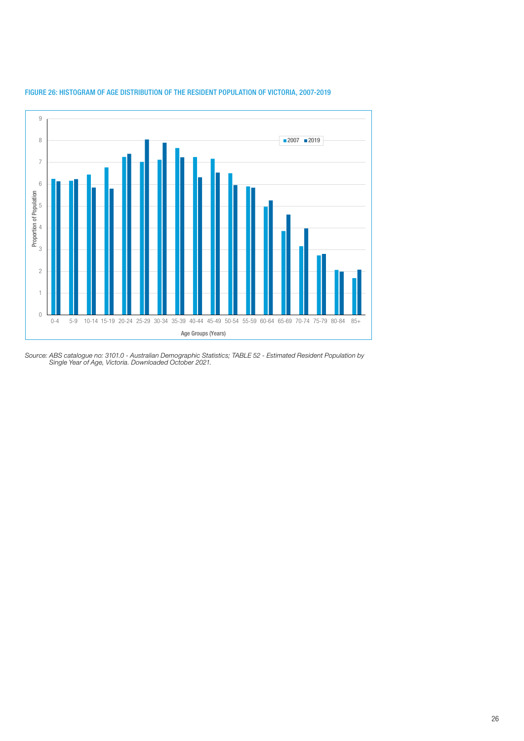

### FIGURE 26: HISTOGRAM OF AGE DISTRIBUTION OF THE RESIDENT POPULATION OF VICTORIA, 2007-2019

Source: ABS catalogue no: 3101.0 - Australian Demographic Statistics; TABLE 52 - Estimated Resident Population by Single Year of Age, Victoria. Downloaded October 2021.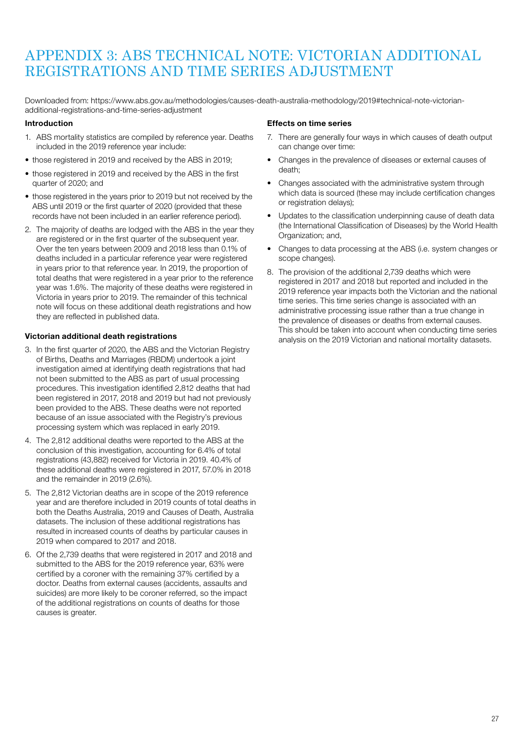# APPENDIX 3: ABS TECHNICAL NOTE: VICTORIAN ADDITIONAL REGISTRATIONS AND TIME SERIES ADJUSTMENT

Downloaded from: https://www.abs.gov.au/methodologies/causes-death-australia-methodology/2019#technical-note-victorianadditional-registrations-and-time-series-adjustment

### Introduction

- 1. ABS mortality statistics are compiled by reference year. Deaths included in the 2019 reference year include:
- those registered in 2019 and received by the ABS in 2019;
- those registered in 2019 and received by the ABS in the first quarter of 2020; and
- those registered in the years prior to 2019 but not received by the ABS until 2019 or the first quarter of 2020 (provided that these records have not been included in an earlier reference period).
- 2. The majority of deaths are lodged with the ABS in the year they are registered or in the first quarter of the subsequent year. Over the ten years between 2009 and 2018 less than 0.1% of deaths included in a particular reference year were registered in years prior to that reference year. In 2019, the proportion of total deaths that were registered in a year prior to the reference year was 1.6%. The majority of these deaths were registered in Victoria in years prior to 2019. The remainder of this technical note will focus on these additional death registrations and how they are reflected in published data.

### Victorian additional death registrations

- 3. In the first quarter of 2020, the ABS and the Victorian Registry of Births, Deaths and Marriages (RBDM) undertook a joint investigation aimed at identifying death registrations that had not been submitted to the ABS as part of usual processing procedures. This investigation identified 2,812 deaths that had been registered in 2017, 2018 and 2019 but had not previously been provided to the ABS. These deaths were not reported because of an issue associated with the Registry's previous processing system which was replaced in early 2019.
- 4. The 2,812 additional deaths were reported to the ABS at the conclusion of this investigation, accounting for 6.4% of total registrations (43,882) received for Victoria in 2019. 40.4% of these additional deaths were registered in 2017, 57.0% in 2018 and the remainder in 2019 (2.6%).
- 5. The 2,812 Victorian deaths are in scope of the 2019 reference year and are therefore included in 2019 counts of total deaths in both the Deaths Australia, 2019 and Causes of Death, Australia datasets. The inclusion of these additional registrations has resulted in increased counts of deaths by particular causes in 2019 when compared to 2017 and 2018.
- 6. Of the 2,739 deaths that were registered in 2017 and 2018 and submitted to the ABS for the 2019 reference year, 63% were certified by a coroner with the remaining 37% certified by a doctor. Deaths from external causes (accidents, assaults and suicides) are more likely to be coroner referred, so the impact of the additional registrations on counts of deaths for those causes is greater.

### Effects on time series

- 7. There are generally four ways in which causes of death output can change over time:
- Changes in the prevalence of diseases or external causes of death;
- Changes associated with the administrative system through which data is sourced (these may include certification changes or registration delays);
- Updates to the classification underpinning cause of death data (the International Classification of Diseases) by the World Health Organization; and,
- Changes to data processing at the ABS (i.e. system changes or scope changes).
- 8. The provision of the additional 2,739 deaths which were registered in 2017 and 2018 but reported and included in the 2019 reference year impacts both the Victorian and the national time series. This time series change is associated with an administrative processing issue rather than a true change in the prevalence of diseases or deaths from external causes. This should be taken into account when conducting time series analysis on the 2019 Victorian and national mortality datasets.